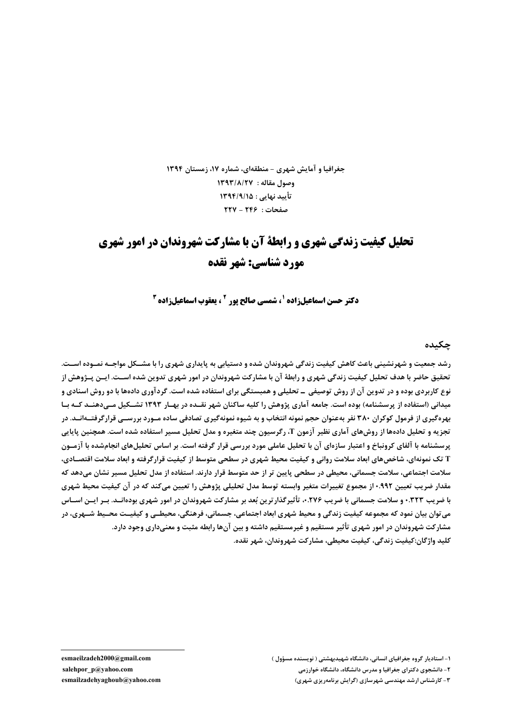جغرافیا و آمایش شهری - منطقهای، شماره ۱۷، زمستان ۱۳۹۴ وصول مقاله : ١٣٩٣/٨/٢٧ تأیید نهایی : ۱۳۹۴/۹/۱۵  $NY - YFF :$ صفحات:

# تحلیل کیفیت زندگی شهری و رابطهٔ آن با مشارکت شهروندان در امور شهری مورد شناسي: شهر نقده

**دکتر حسن اسماعیل;اده '، شمسی صالح یور ' ، یعقوب اسماعیل; اده "** 

چکىدە

رشد جمعیت و شهرنشینی باعث کاهش کیفیت زندگی شهروندان شده و دستیابی به پایداری شهری را با مشــکل مواجــه نمــوده اســت. تحقیق حاضر با هدف تحلیل کیفیت زندگی شهری و رابطهٔ آن با مشارکت شهروندان در امور شهری تدوین شده اسـت. ایــن پــژوهش از نوع کاربردی بوده و در تدوین آن از روش توصیفی ــ تحلیلی و همبستگی برای استفاده شده است. گردآوری دادهها با دو روش اسنادی و میدانی (استفاده از پرسشنامه) بوده است. جامعه آماری پژوهش را کلیه ساکنان شهر نقــده در بهـار ۱۳۹۳ تشــکیل مــیدهنــد کــه بـا بهرهگیری از فرمول کوکران ۳۸۰ نفر بهعنوان حجم نمونه انتخاب و به شیوه نمونهگیری تصادفی ساده مسورد بررســی قرارگرفتــهانــد. در تجزیه و تحلیل دادهها از روشهای آماری نظیر آزمون T، رگرسیون چند متغیره و مدل تحلیل مسیر استفاده شده است. همچنین پایایی پرسشنامه با آلفای کرونباخ و اعتبار سازهای آن با تحلیل عاملی مورد بررسی قرار گرفته است. بر اساس تحلیلهای انجامشده با آزمـون T تک نمونهای، شاخصهای ابعاد سلامت روانی و کیفیت محیط شهری در سطحی متوسط از کیفیت قرارگرفته و ابعاد سلامت اقتصـادی، سلامت اجتماعی، سلامت جسمانی، محیطی در سطحی پایین تر از حد متوسط قرار دارند. استفاده از مدل تحلیل مسیر نشان میدهد که مقدار ضریب تعیین ۹۹۲.• از مجموع تغییرات متغیر وابسته توسط مدل تحلیلی پژوهش را تعیین میکند که در آن کیفیت محیط شهری با ضریب ۰.۳۲۳ و سلامت جسمانی با ضریب ۲۷۶.۰ تأثیرگذار ترین بُعد بر مشارکت شهروندان در امور شهری بودهانــد. بــر ایــن اســاس می توان بیان نمود که مجموعه کیفیت زندگی و محیط شهری ابعاد اجتماعی، جسمانی، فرهنگی، محیطــی و کیفیــت محــیط شــهری، در مشارکت شهروندان در امور شهری تأثیر مستقیم و غیرمستقیم داشته و بین آنها رابطه مثبت و معنیداری وجود دارد. كليد واژگان:كيفيت زندگي، كيفيت محيطي، مشاركت شهروندان، شهر نقده.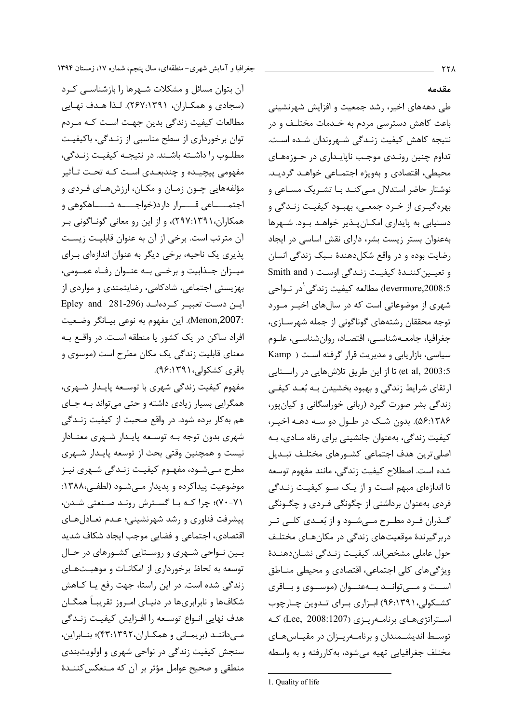مقدمه

طی دهههای اخیر، رشد جمعیت و افزایش شهرنشینی باعث کاهش دسترسی مردم به خـدمات مختلـف و در نتيجه كاهش كيفيت زنـدگي شـهروندان شـده اسـت. تداوم چنین رونـدی موجـب ناپایـداری در حـوزههـای محيطي، اقتصادي و بهويژه اجتمـاعي خواهـد گرديـد. نوشتار حاضر استدلال مے کنـد بـا تشـریک مسـاعی و بهرهگیـری از خـرد جمعـی، بهبـود کیفیـت زنـدگی و دستیابی به پایداری امکـان بـذیر خواهـد بـود. شـهرها بهعنوان بستر زیست بشر، دارای نقش اساسی در ایجاد رضایت بوده و در واقع شکلدهندهٔ سبک زندگی انسان و تعیین کننـدهٔ کیفیـت زنـدگی اوسـت ( Smith and levermore,2008:5) مطالعه كيفيت زندگي <sup>\</sup>در نــواحي شهری از موضوعاتی است که در سال های اخیــر مــورد توجه محققان رشتههای گوناگونی از جمله شهرسـازی، جغرافيا، جامعـهشناسـي، اقتصـاد، روانشناسـي، علـوم سیاسی، بازاریابی و مدیریت قرار گرفته است ( Kamp et al, 2003:5) تا از این طریق تلاشهایی در راستایی ارتقای شرایط زندگی و بهبود بخشیدن بـه بُعـد کیفـی زندگی بشر صورت گیرد (ربانی خوراسگانی و کیانپور، ۵۶:۱۳۸۶). بدون شک در طـول دو سـه دهـه اخيـر، کیفیت زندگی، بهعنوان جانشینی برای رفاه مـادی، بـه اصلي ترين هدف اجتماعي كشورهاي مختلف تبديل شده است. اصطلاح کیفیت زندگی، مانند مفهوم توسعه تا اندازهای مبهم است و از یـک ســو کیفیـت زنــدگی فردی بهعنوان برداشتی از چگونگی فـردی و چگـونگی گـذران فـرد مطـرح مـبىشـود و از بُعـدى كلـبى تـر دربر گیرندهٔ موقعیتهای زندگی در مکانهـای مختلـف حول عاملي مشخصاند. كيفيت زنـدگي نشـاندهنـدهٔ ویژگی های کلی اجتماعی، اقتصادی و محیطی منــاطق اســت و مــــی توانـــد بـــهعنـــوان (موســـوی و بـــاقری کشـکولی،۹۶:۱۳۹۱) ابـزاری بـرای تـدوین چـارچوب استراتژیهای برنامهریزی (Lee, 2008:1207) که توسط اندیشـمندان و برنامـهریـزان در مقیـاسهـای مختلف جغرافیایی تهیه می شود، به کاررفته و به واسطه

آن بتوان مسائل و مشکلات شـهرها را بازشناســی کـرد (سجادي و همكـاران، ۲۶۷:۱۳۹۱). لـذا هـدف نهـايي مطالعات کیفیت زندگی بدین جهت است کـه مـردم توان برخورداری از سطح مناسبی از زنـدگی، باکیفیـت مطلـوب را داشــته باشــند. در نتیجــه کیفیـت زنــدگے، مفهومی پیچیـده و چندبعـدی اسـت کـه تحـت تـأثیر مؤلفههایی چـون زمـان و مکـان، ارزشهـای فـردی و اجتمـــــاعي قـــــرار دارد(خواجــــــه شــــــاهكوهي و همکاران،۱۳۹۱:۲۹۷)، و از این رو معانی گونـاگونی بـر آن مترتب است. برخی از آن به عنوان قابلیت زیست پذیری یک ناحیه، برخی دیگر به عنوان اندازهای برای میـزان جـذابیت و برخــی بــه عنــوان رفــاه عمــومی، بهزیستی اجتماعی، شادکامی، رضایتمندی و مواردی از اين دست تعبيـر كردهانـد (Epley and 281-296 :Menon,2007). این مفهوم به نوعی بیـانگر وضـعیت افراد ساکن در یک کشور یا منطقه است. در واقع بـه معنای قابلیت زندگی یک مکان مطرح است (موسوی و باقرى كشكولى،١٣٩١:٩۶).

مفهوم کیفیت زندگی شهری با توسـعه پایـدار شـهری، همگرایی بسیار زیادی داشته و حتی میتواند به جای هم به کار برده شود. در واقع صحبت از کیفیت زنـدگی شهری بدون توجه بـه توسـعه پايـدار شـهری معنـادار نیست و همچنین وقتی بحث از توسعه پایـدار شـهری مطرح مے شــود، مفهــوم کیفیــت زنــدگی شــهری نیــز موضوعیت پیداکرده و پدیدار مـیشـود (لطفـی،۱۳۸۸: ٧٠-٧٠)؛ چرا كـه بـا گسـترش رونـد صـنعتى شـدن، پیشرفت فناوری و رشد شهرنشینی؛ عـدم تعـادلهـای اقتصادي، اجتماعي و فضايي موجب ايجاد شكاف شديد بين نواحي شـهري و روسـتايي كشـورهاي در حـال توسعه به لحاظ برخورداری از امکانـات و موهبـتهـای زندگی شده است. در این راستا، جهت رفع یـا کـاهش شکافها و نابرابریها در دنیـای امـروز تقریبـاً همگـان هدف نهايي انـواع توسـعه را افـزايش كيفيـت زنـدگي مے داننـد (بریمـانی و همکـاران، ۴۳:۱۳۹۲)؛ بنـابراین، سنجش کیفیت زندگی در نواحی شهری و اولویتبندی منطقی و صحیح عوامل مؤثر بر آن که مـنعکس2ننـدهٔ

جغرافیا و آمایش شهری-منطقهای، سال پنجم، شماره ۱۷، زمستان ۱۳۹۴

<sup>1.</sup> Quality of life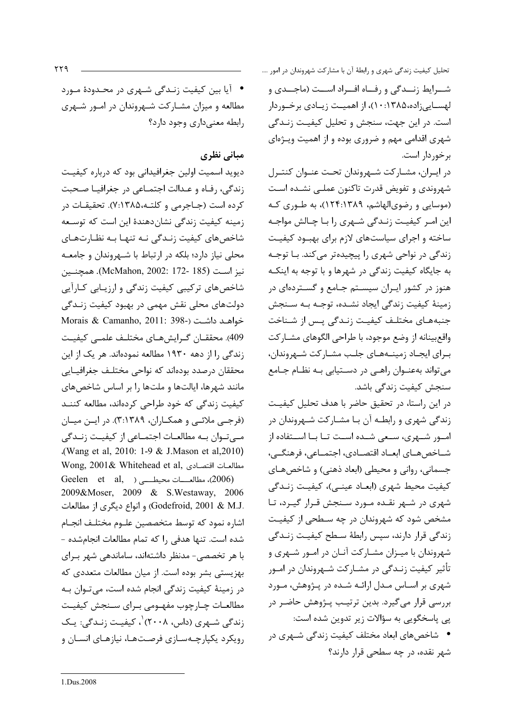• آیا بین کیفیت زنـدگی شـهری در محـدودهٔ مـورد مطالعه و میزان مشـارکت شـهروندان در امـور شـهری رابطه معنى دارى وجود دارد؟

## مبانی نظری

دیوید اسمیت اولین جغرافیدانی بود که درباره کیفیت زندگی، رفـاه و عـدالت اجتمـاعی در جغرافیـا صـحبت کرده است (جـاجرمی و کلتـه،۱۳۸۵:۷). تحقیقـات در زمینه کیفیت زندگی نشاندهندهٔ این است که توسـعه شاخصهای کیفیت زنـدگی نـه تنهـا بـه نظـارتهـای محلی نیاز دارد؛ بلکه در ارتباط با شـهروندان و جامعـه نيز است (McMahon, 2002: 172- 185). همچنـين شاخص های ترکیبی کیفیت زندگی و ارزیـابی کـارآیی دولتهای محلی نقش مهمی در بهبود کیفیت زنـدگی Morais & Camanho, 2011: 398-) خواهد داشت (-998 409). محققــان گــرايشهــاي مختلــف علمــي كيفيــت زندگی را از دهه ۱۹۳۰ مطالعه نمودهاند. هر یک از این محققان درصدد بودهاند که نواحی مختلـف جغرافيـايي مانند شهرها، ایالتها و ملتها را بر اساس شاخصهای کیفیت زندگی که خود طراحی کردهاند، مطالعه کننـد (فرجـے ملائـے و همكـاران، ٣:١٣٨٩). در ايـن ميـان مے توان بـه مطالعـات اجتمــاعی از کیفیــت زنــدگی .(Wang et al, 2010: 1-9 & J.Mason et al, 2010) Wong, 2001& Whitehead et al, مطالعات اقتصادى, (2006)، مطالعـــات محيطــــى ( Geelen et al, 2009&Moser, 2009 & S.Westaway, 2006 .Godefroid, 2001 & M.J) و انواع دیگری از مطالعات اشاره نمود كه توسط متخصصين علـوم مختلـف انجـام شده است. تنها هدفى ,ا كه تمام مطالعات انجام شده -با هر تخصصی- مدنظر داشتهاند، ساماندهی شهر برای بهزیستی بشر بوده است. از میان مطالعات متعددی که در زمینهٔ کیفیت زندگی انجام شده است، میتوان به مطالعـات چـارچوب مفهـومي بـراي سـنجش كيفيـت زندگی شــهری (داس، ۲۰۰۸) ٰ، کیفیـت زنـدگی: یـک رویکرد یکپارچـهسـازی فرصـتهـا، نیازهـای انسـان و تحلیل کیفیت زندگی شهری و رابطهٔ آن با مشارکت شهروندان در امور .... شــرايط زنــدگی و رفــاه افــراد اســت (ماجــدی و لهسـاييزاده،۱۳۸۵:۱۰:۱)، از اهميـت زيـادي برخـوردار است. در این جهت، سنجش و تحلیل کیفیت زنـدگی شهری اقدامی مهم و ضروری بوده و از اهمیت ویـژهای برخوردار است.

در ايـران، مشــاركت شــهروندان تحــت عنــوان كنتــرل شهروندي و تفويض قدرت تاكنون عملـى نشـده اسـت (موسایی و رضوی الهاشم، ۱۲۴:۱۳۸۹)، به طـوری کـه این امـر کیفیـت زنـدگی شـهری را بـا چـالش مواجـه ساخته و اجرای سیاستهای لازم برای بهبود کیفیت زندگی در نواحی شهری را پیچیدهتر میکند. با توجه به جایگاه کیفیت زندگی در شهرها و با توجه به اینکـه هنوز در کشور ایبران سیستم جـامع و گسـتردهای در زمينهٔ كيفيت زندگي ايجاد نشـده، توجـه بـه سـنجش جنبههـای مختلـف کیفیـت زنـدگی پـس از شـناخت واقع بينانه از وضع موجود، با طراحي الگوهاي مشـاركت بـرای ایجـاد زمینــههـای جلـب مشـارکت شــهروندان، می تواند بهعنـوان راهـی در دسـتیابی بـه نظـام جـامع سنجش کیفیت زندگی باشد.

در این راستا، در تحقیق حاضر با هدف تحلیل کیفیت زندگی شهری و رابطـه آن بـا مشـارکت شـهروندان در امبور شبهری، سبعی شبده است تبا بنا استفاده از شـاخصهـاى ابعـاد اقتصـادى، اجتمـاعى، فرهنگــى، جسماني، رواني و محيطي (ابعاد ذهني) و شاخصهـاي كيفيت محيط شهري (ابعــاد عينــي)، كيفيـت زنــدگي شهری در شـهر نقـده مـورد سـنجش قـرار گیـرد، تـا مشخص شود که شهروندان در چه سـطحی از کیفیـت زندگی قرار دارند، سپس رابطهٔ سـطح کیفیـت زنـدگی شهروندان با میـزان مشـارکت آنـان در امـور شـهری و تأثیر کیفیت زنـدگی در مشـارکت شـهروندان در امـور شهری بر اسـاس مـدل ارائـه شـده در پـژوهش، مـورد بررسی قرار میگیرد. بدین ترتیب پـژوهش حاضـر در پی پاسخگویی به سؤالات زیر تدوین شده است: • شاخصهای ابعاد مختلف کیفیت زندگی شـهری در شهر نقده، در چه سطحی قرار دارند؟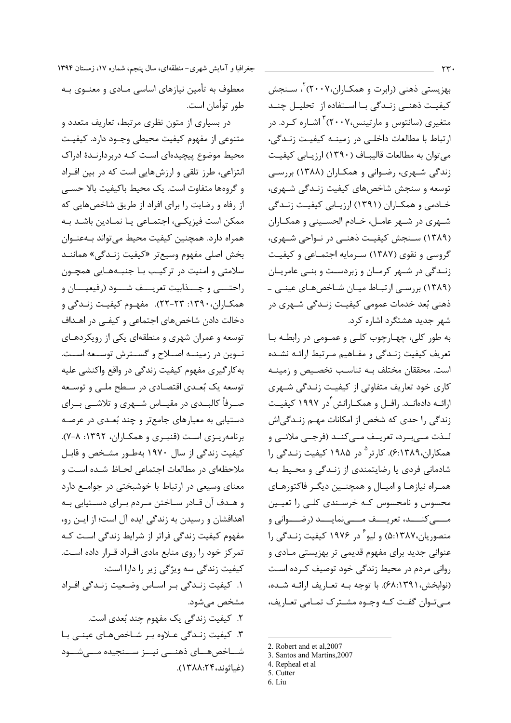بهزیستی ذهنی (رابرت و همکـاران،۲۰۰۷) ، سـنجش کیفیت ذهنی زنـدگی بـا اسـتفاده از تحلیـل چنـد متغیری (سانتوس و مارتینس،۲۰۰۷) آشـاره کـرد. در ارتباط با مطالعات داخلی در زمینــه کیفیـت زنــدگی، می توان به مطالعات قالیبـاف (۱۳۹۰) ارزیـابی کیفیـت زندگی شهری، رضوانی و همکاران (۱۳۸۸) بررسی توسعه و سنجش شاخصهای کیفیت زنـدگی شـهری، خــادمی و همکــاران (۱۳۹۱) ارزیــابی کیفیــت زنــدگی شـهري در شـهر عامـل، خـادم الحسـيني و همكـاران (۱۳۸۹) سـنجش کیفیـت ذهنـی در نـواحی شـهری، گروسی و نقوی (۱۳۸۷) سـرمایه اجتمـاعی و کیفیـت زنـدگی در شـهر کرمـان و زبردسـت و بنـی عامریـان (۱۳۸۹) بررسے ارتباط میان شاخص های عینے ۔ ذهنی بُعد خدمات عمومی کیفیـت زنـدگی شـهری در شهر جدید هشتگرد اشاره کرد.

به طور کلی، چهـارچوب کلـی و عمـومی در رابطـه بـا تعریف کیفیت زنـدگی و مفـاهیم مـرتبط ارائـه نشـده است. محققان مختلف بـه تناسـب تخصـيص و زمينـه کاری خود تعاریف متفاوتی از کیفیت زنـدگی شـهری ارائــه دادهانــد. رافــل و همكــارانش<sup>۴</sup>در ۱۹۹۷ كيفيــت زندگی را حدی که شخص از امکانات مهـم زنــدگی|ش لـذت مــي.بــرد، تعريــف مــي كنــد (فرجــي ملائــي و همکاران،۱۳۸۹.۶). کارتر<sup>۵</sup> در ۱۹۸۵ کیفیت زنـدگی را شادمانی فردی یا رضایتمندی از زنـدگی و محـیط بـه همـراه نیازهـا و امیـال و همچنـین دیگـر فاکتورهـای محسوس و نامحسوس کـه خرسـندی کلـی را تعیـین مــــي كنــــد، تعريــــف مــــينمايــــد (رضـــواني و منصوریان،۵:۱۳۸۷) و لیو<sup>۶</sup> در ۱۹۷۶ کیفیت زنـدگی را عنواني جديد براي مفهوم قديمي تر بهزيستي مـادي و روانی مردم در محیط زندگی خود توصیف کـرده اسـت (نوابخش، ۶۸:۱۳۹۱). با توجه بـه تعـاريف ارائـه شـده، مےتوان گفت کـه وجـوه مشـترک تمـامی تعـاريف،

معطوف به تأمین نیازهای اساسی مـادی و معنــوی بــه طور توأمان است.

در بسیاری از متون نظری مرتبط، تعاریف متعدد و متنوعي از مفهوم كيفيت محيطي وجـود دارد. كيفيـت محیط موضوع پیچیدهای است کـه دربردارنـدهٔ ادراک انتزاعی، طرز تلقی و ارزشهایی است که در بین افراد و گروهها متفاوت است. یک محیط باکیفیت بالا حسبی از رفاه و رضایت را برای افراد از طریق شاخصهایی که ممکن است فیزیکے، اجتمـاعی یـا نمـادین باشـد بـه همراه دارد. همچنین کیفیت محیط می تواند بـهعنـوان بخش اصلي مفهوم وسيعتر «كيفيت زنـدگي» هماننـد سلامتی و امنیت در ترکیب بـا جنبـههـایی همچـون راحتـــي و جــــذابيت تعريـــف شــــود (رفيعيـــان و همكـاران، ١٣٩٠: ٢٣-٢٢). مفهـوم كيفيـت زنـدگي و دخالت دادن شاخصهای اجتماعی و کیفـی در اهـداف توسعه و عمران شهری و منطقهای یکی از رویکردهـای نوین در زمینــه اصــلاح و گســترش توســعه اســت. به کار گیری مفهوم کیفیت زندگی در واقع واکنشی علیه توسعه یک بُعـدی اقتصـادی در سـطح ملـی و توسـعه صـرفأ كالبــدى در مقيــاس شــهرى و تلاشــى بــراى دستیابی به معیارهای جامعتر و چند بُعـدی در عرصـه برنامه ریزی است (قنبری و همکـاران، ۱۳۹۲: ۸-۷). کیفیت زندگی از سال ۱۹۷۰ بهطـور مشـخص و قابـل .<br>ملاحظهای در مطالعات اجتماعی لحـاظ شـده اسـت و معنای وسیعی در ارتباط با خوشبختی در جوامـع دارد و هـدف آن قـادر سـاختن مـردم بـرای دسـتيابی بـه اهدافشان و رسیدن به زندگی ایده آل است؛ از ایـن رو، مفهوم کیفیت زندگی فراتر از شرایط زندگی است کـه تمرکز خود را روی منابع مادی افـراد قـرار داده اسـت. کیفیت زندگی سه ویژگی زیر را دارا است: ١. كيفيت زنـدگي بـر اسـاس وضـعيت زنـدگي افـراد مشخص می شود. ٢. كيفيت زندگي يک مفهوم چند بُعدي است. ۳. کیفیت زنـدگی عـلاوه بـر شـاخص هـای عینـی بـا شــاخصهــای ذهنـــی نیــز ســنجیده مــیشــود (غياثوند،٢۴،٨٠٢٣).

<sup>2.</sup> Robert and et al, 2007

<sup>3.</sup> Santos and Martins, 2007

<sup>4.</sup> Repheal et al

<sup>5.</sup> Cutter 6. Liu

جغرافیا و آمایش شهری-منطقهای، سال پنجم، شماره ۱۷، زمستان ۱۳۹۴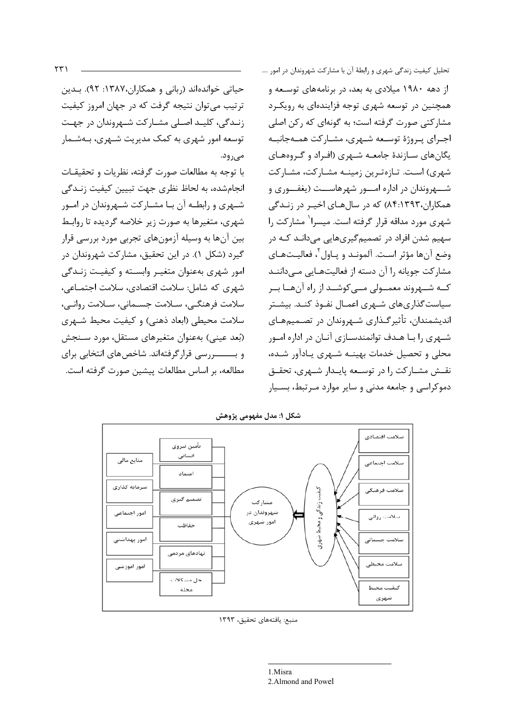حیاتی خواندهاند (ربانی و همکاران،۱۳۸۷: ۹۲). بـدین ترتیب می توان نتیجه گرفت که در جهان امروز کیفیت زنـدگی، کلیـد اصـلی مشـارکت شـهروندان در جهـت توسعه امور شهری به کمک مدیریت شـهری، بـهشـمار مے ،رود.

با توجه به مطالعات صورت گرفته، نظريات و تحقيقـات انجامشده، به لحاظ نظري جهت تبيين كيفيت زنـدگي شهری و رابطـه آن بـا مشـارکت شـهروندان در امـور شهری، متغیرها به صورت زیر خلاصه گردیده تا روابط بین آنها به وسیله آزمونهای تجربی مورد بررسی قرار گیرد (شکل ۱). در این تحقیق، مشارکت شهروندان در امور شهری بهعنوان متغیـر وابســته و کیفیـت زنـدگی شهري كه شامل: سلامت اقتصادي، سلامت اجتمـاعي، سلامت فرهنگي، سـلامت جسـماني، سـلامت روانـي، سلامت محیطی (ابعاد ذهنی) و کیفیت محیط شـهری (بُعد عيني) بهعنوان متغيرهاي مستقل، مورد سـنجش و بـــــــررسی قرارگرفتهاند. شاخصهای انتخابی برای مطالعه، بر اساس مطالعات پیشین صورت گرفته است.

از دهه ۱۹۸۰ میلادی به بعد، در برنامههای توسعه و همچنین در توسعه شهری توجه فزایندهای به رویک رد مشارکتی صورت گرفته است؛ به گونهای که رکن اصلی اجـراي پـروژهٔ توسـعه شـهري، مشـاركت همـهجانبــه یگانهای سـازندهٔ جامعـه شـهری (افـراد و گـروههـای شهری) است. تـازهتـرین زمینــه مشـارکت، مشـارکت شـــهروندان در اداره امـــور شهرهاســت (یغفــوری و همکاران،۸۴:۱۳۹۳) که در سالهای اخیـر در زنـدگی شهری مورد مداقه قرار گرفته است. میسرا<sup>\</sup> مشارکت ۱٫ سهیم شدن افراد در تصمیم گیریهایی میدانـد کـه در وضع آنها مؤثر است. آلمونـد و پـاول آ، فعاليـتهـاى مشارکت جویانه را آن دسته از فعالیتهـایی مـیداننـد کے شیہروند معمیولی میے کوشید از راہ آن ھیا ہیر سیاست گذاریهای شـهری اعمـال نفـوذ کنـد. بیشـتر اندیشمندان، تأثیر گـذاری شـهروندان در تصـمیمهـای شـهری را بـا هـدف توانمندسـازی آنـان در اداره امــور محلی و تحصیل خدمات بهینـه شـهری یـادآور شـده، نقش مشاركت را در توسعه پايـدار شـهري، تحقــق دموکراسی و جامعه مدنی و سایر موارد مـرتبط، بسـیار

تحلیل کیفیت زندگی شهری و رابطهٔ آن با مشارکت شهروندان در امور ….



شکل ۱: مدل مفهومی پژوهش

منبع: يافتههاى تحقيق، ١٣٩٣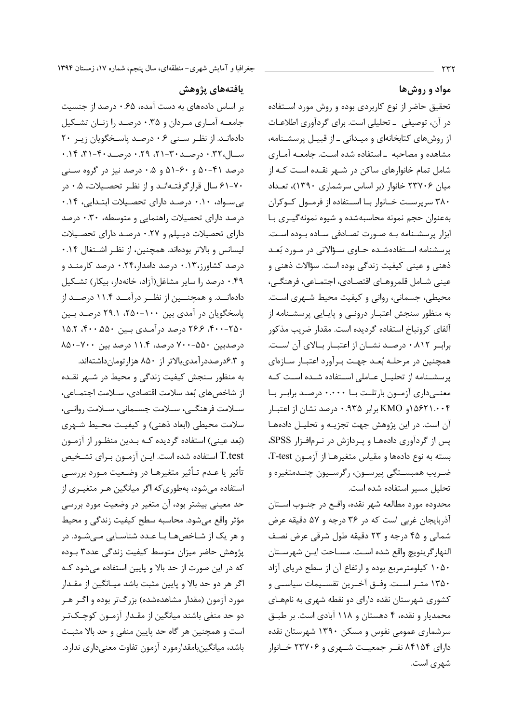### مواد و روشها

تحقیق حاضر از نوع کاربردی بوده و روش مورد استفاده در آن، توصیفی \_ تحلیلی است. برای گردآوری اطلاعـات از روشهای کتابخانهای و میـدانی ـ از قبیـل پرسشـنامه، مشاهده و مصاحبه - استفاده شده است. جامعـه آمـاری شامل تمام خانوارهای ساکن در شـهر نقـده اسـت کـه از میان ۲۳۷۰۶ خانوار (بر اساس سرشماری ۱۳۹۰)، تعـداد ۳۸۰ سرپرست خـانوار بـا اسـتفاده از فرمـول کـوکران به عنوان حجم نمونه محاسبه شده و شیوه نمونه گیـری بـا ابزار پرسشـنامه بـه صـورت تصـادفی سـاده بـوده اسـت. پرسشنامه استفادهشده حـاوی سـؤالاتی در مـورد بُعـد ذهني و عيني كيفيت زندگي بوده است. سؤالات ذهني و عيني شـامل قلمروهـاي اقتصـادي، اجتمـاعي، فرهنگـي، محيطي، جسماني، رواني و كيفيت محيط شــهري اسـت. به منظور سنجش اعتبـار درونـي و پايـايي پرسشـنامه از آلفای کرونباخ استفاده گردیده است. مقدار ضریب مذکور براب ٨١٢. • درصد نشــان از اعتبــار بــالاي آن اســت. همچنین در مرحلـه بُعـد جهـت بـرآورد اعتبـار سـازهای پرسشـنامه از تحليـل عـاملى اسـتفاده شـده اسـت كـه معنــیداری آزمــون بارتلـت بـا ۰.۰۰۰ درصـد برابـر بـا ۱۵۶۲۱.۰۰۴ و KMO برابر ۹۳۵.۰ درصد نشان از اعتبـار آن است. در این پژوهش جهت تجزیـه و تحلیـل دادهها پس از گردآوری دادهها و پردازش در نرمافزار SPSS، بسته به نوع دادهها و مقیاس متغیرهـا از آزمـون T-test. ضـريب همبســتگي پيرســون، رگرســيون چنــدمتغيره و تحليل مسير استفاده شده است.

محدوده مورد مطالعه شهر نقده، واقـع در جنــوب اســتان آذربایجان غربی است که در ۳۶ درجه و ۵۷ دقیقه عرض شمالي و ۴۵ درجه و ۲۳ دقیقه طول شرقی عرض نصف النهار گرينويچ واقع شده اسـت. مسـاحت ايـن شهرسـتان ۱۰۵۰ کیلومترمربع بوده و ارتفاع آن از سطح دریای آزاد ۱۳۵۰ متـر اسـت. وفــق آخــرين تقســيمات سياســي و کشوری شهرستان نقده دارای دو نقطه شهری به نامهـای محمدیار و نقده، ۴ دهستان و ۱۱۸ آبادی است. بر طبـق سرشماری عمومی نفوس و مسکن ۱۳۹۰ شهرستان نقده دارای ۸۴۱۵۴ نف جمعیت شبهری و ۲۳۷۰۶ خیانوار شهری است.

#### يافتەهاي يژوهش

بر اساس دادههای به دست آمده، ۶۵ ۰ درصد از جنسیت جامعـه آمـاري مـردان و ۰.۳۵ درصـد را زنـان تشـكيل دادهانـد. از نظـر سـنى ٠.۶ درصـد ياسـخگويان زيـر ٢٠ سال، ۰.۲۲ درصـد ۳۰-۲۱، ۰.۲۹ درصـد ۴۰-۳۱، ۰.۱۴ درصد ۴۱-۵۰ و ۶۰-۵۱ و ۰.۵ درصد نیز در گروه سـنی ۷۰-۶۱ سال قرارگرفتـهانـد و از نظـر تحصـيلات، ۰.۵ در بی سواد، ۰.۱۰ درصد دارای تحصیلات ابتدایی، ۰.۱۴ درصد دارای تحصیلات راهنمایی و متوسطه، ۰.۳۰ درصد دارای تحصیلات دیبیلم و ۰.۲۷ درصد دارای تحصیلات لیسانس و بالاتر بودهاند. همچنین، از نظـر اشـتغال ۱۴.۰ درصد کشاورز،۰.۱۳ درصد دامدار،۰.۲۴ درصد کارمنـد و ۴۹.۰ درصد را سایر مشاغل(آزاد، خانهدار، بیکار) تشکیل دادهانــد. و همچنـــین از نظــر درآمــد ۱۱.۴ درصــد از یاسخگویان در آمدی بین ۱۰۰-۲۵۰، ۲۹.۱ درصد بـین ۴۰۰-۲۵۰ ۴۶.۶ درصد درآمـدی بـین ۵۵۰۰-۴۰۰ ۱۵.۲ درصدبین ۵۵۰–۷۰۰ درصد، ۱۱.۴ درصد بین ۷۰۰–۸۵۰ و ۶.۳درصددرآمدیبالاتر از ۸۵۰ هزار تومان داشتهاند.

به منظور سنجش کیفیت زندگی و محیط در شـهر نقـده از شاخص های بُعد سلامت اقتصادی، ســلامت اجتمــاعی، سللامت فرهنگے، سللامت جسـمانی، سـلامت روانـی، سلامت محیطی (ابعاد ذهنی) و کیفیت محـیط شـهری (بُعد عيني) استفاده گرديده كـه بـدين منظـور از آزمـون T.test استفاده شده است. ایـن آزمـون بـرای تشـخیص تأثير يا عـدم تـأثير متغيرهـا در وضـعيت مـورد بررسـي استفاده مے شود، بهطوری که اگر میانگین هـر متغیـری از حد معینی بیشتر بود، آن متغیر در وضعیت مورد بررسی مؤثر واقع میشود. محاسبه سطح کیفیت زندگی و محیط و هر یک از شـاخصهـا بـا عـدد شناسـایی مـیشـود. در پژوهش حاضر میزان متوسط کیفیت زندگی عدد۳ بـوده که در این صورت از حد بالا و پایین استفاده میشود کـه اگر هر دو حد بالا و پایین مثبت باشد میـانگین از مقـدار مورد آزمون (مقدار مشاهدهشده) بزرگ تر بوده و اگـر هـر دو حد منفی باشند میانگین از مقـدار آزمـون کوچـکتـر است و همچنین هر گاه حد پایین منفی و حد بالا مثبت باشد، میانگینبامقدارمورد آزمون تفاوت معنے داری ندارد.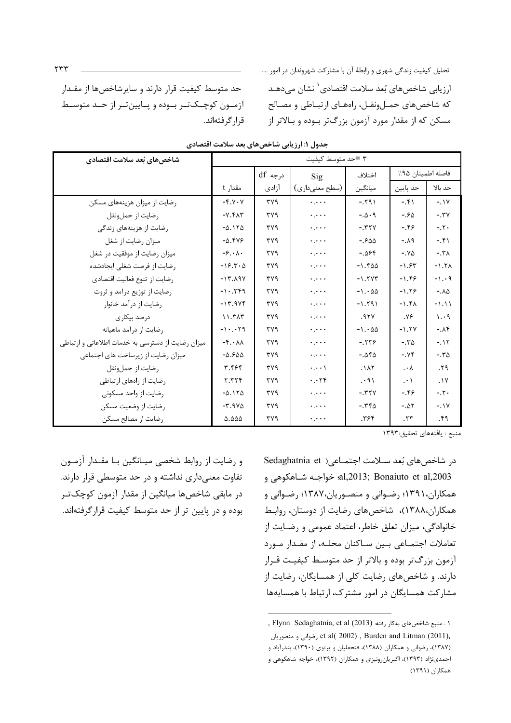| ب-درن '' 'رریبی ساختن بعد سا                      |                                       |         |                            |          |                   |             |  |  |  |  |
|---------------------------------------------------|---------------------------------------|---------|----------------------------|----------|-------------------|-------------|--|--|--|--|
| شاخصهای بُعد سلامت اقتصادی                        |                                       |         | ٣ =حد متوسط كيفيت          |          |                   |             |  |  |  |  |
|                                                   |                                       | درجه df | Sig                        | اختلاف   | فاصله اطمينان ٩۵٪ |             |  |  |  |  |
|                                                   | مقدار t                               | أزادى   | (سطح معنى دارى)            | ميانگين  | حد پایین          | حد بالا     |  |  |  |  |
| رضایت از میزان هزینههای مسکن                      | $-Y. V. V$                            | rrvq    | $\ddotsc$                  | $-591$   | $-5.51$           | $-.1V$      |  |  |  |  |
| رضايت از حملونقل                                  | $-Y.Y \wedge Y$                       | ۳۷۹     | $\ddotsc$                  | $-.0.9$  | $-580$            | $-.7V$      |  |  |  |  |
| رضایت از هزینههای زندگی                           | $-0.110$                              | ۳۷۹     | $\ddotsc$                  | $-.$ TYV | $-0.99$           | $-7.$       |  |  |  |  |
| میزان رضایت از شغل                                | $-0.549$                              | ٣٧٩     | $\ddotsc$                  | $-.500$  | $-.A9$            | $-51$       |  |  |  |  |
| میزان رضایت از موفقیت در شغل                      | $-\xi \cdot \lambda$ .                | ۳۷۹     | $\ddotsc$                  | $-.098$  | $-X\Delta$        | $-5.7A$     |  |  |  |  |
| رضایت از فرصت شغلی ایجادشده                       | $-15.5.0$                             | ۳۷۹     | $\ddots$                   | $-1.500$ | $-1.54$           | $-1.5A$     |  |  |  |  |
| رضايت از تنوع فعاليت اقتصادى                      | $-17.19V$                             | ۳۷۹     | $\ddotsc$                  | $-1.7YT$ | $-1.59$           | $-1.49$     |  |  |  |  |
| رضایت از توزیع درآمد و ثروت                       | $-1.799$                              | ۳۷۹     | $\ddotsc$                  | $-1.00$  | $-1.59$           | $-.A\Delta$ |  |  |  |  |
| رضایت از درآمد خانوار                             | $-17.9Yf$                             | ۳۷۹     | $\ddots$                   | $-1.591$ | $-1.5A$           | $-1.11$     |  |  |  |  |
| درصد بيكارى                                       | 11.7AT                                | ٣٧٩     | $\ddots$                   | .97Y     | .99               | 1.49        |  |  |  |  |
| رضايت از درآمد ماهيانه                            | $-1.79$                               | ۳۷۹     | $\ddots$                   | $-1.00$  | $-1.5V$           | $-.Af$      |  |  |  |  |
| میزان رضایت از دسترسی به خدمات اطلاعاتی و ارتباطی | $-\mathfrak{f}\cdot\lambda\lambda$    | ۳۷۹     | لمحرك                      | $-1559$  | $-.70$            | $-117$      |  |  |  |  |
| میزان رضایت از زیرساخت های اجتماعی                | $-0.900$                              | ۳۷۹     | $\ddotsc$                  | $-.050$  | $-XY$             | $-.70$      |  |  |  |  |
| رضايت از حملونقل                                  | ۳.۴۶۴                                 | ۳۷۹     | $\cdots$                   | .1AT     | $\cdot^{\lambda}$ | .59         |  |  |  |  |
| رضایت از راههای ارتباطی                           | 5.555                                 | ۳۷۹     | $\cdot \cdot \cdot \tau$ ۴ | .        | $\cdot \cdot$     | .1V         |  |  |  |  |
| رضایت از واحد مسکونی                              | $-\Delta$ . $\Delta$                  | ۳۷۹     | $\ddots$                   | $-5.77V$ | $-0.99$           | $-.7.$      |  |  |  |  |
| رضايت از وضعيت مسكن                               | $-\mathbf{r}$ . 984                   | ۳۷۹     | $\ddotsc$                  | $-50$    | $-.Δ$             | $-1Y$       |  |  |  |  |
| رضايت از مصالح مسكن                               | $\triangle$ . $\triangle$ $\triangle$ | ۳۷۹     | $\ddots$                   | .795     | .57               | .59         |  |  |  |  |

.<br>حدول ۱: ارز بابی شاخص های بعد سلامت اقتصادی

قرا, گرفتهاند.

منيع : بافتههاي تحقيق:١٣٩٣

و رضایت از روابط شخصی میـانگین بـا مقـدار آزمـون تفاوت معنیداری نداشته و در حد متوسطی قرار دارند. در مابقی شاخص ها میانگین از مقدار آزمون کوچک تـر بوده و در پایین تر از حد متوسط کیفیت قرارگرفتهاند.

حد متوسط کیفیت قرار دارند و سایرشاخصها از مقـدار آزمون كوچكتر بوده و پايينتر از حـد متوسـط

> در شاخصهای بُعد سلامت اجتمـاعی( Sedaghatnia et al,2013; Bonaiuto et al,2003؛ خواجـه شـاهكوهي و همکاران،۱۳۹۱؛ رضـوانی و منصـوریان،۱۳۸۷؛ رضـوانی و همکاران،۱۳۸۸)، شاخصهای رضایت از دوستان، روابط خانوادگی، میزان تعلق خاطر، اعتماد عمومی و رضایت از تعاملات اجتمـاعي بـين سـاكنان محلـه، از مقـدار مـورد آزمون بزرگتر بوده و بالاتر از حد متوسط کیفیت قـرار دارند. و شاخصهای رضایت کلی از همسایگان، رضایت از مشارکت همسایگان در امور مشترک، ارتباط با همسایهها

<sup>,</sup> Flynn Sedaghatnia, et al (2013) به كار رفته: (103) Flynn Sedaghatnia, et al ضوانی و منصوریان et al( 2002), Burden and Litman (2011), (۱۳۸۷)، رضوانی و همکاران (۱۳۸۸)، فتحعلیان و پرتوی (۱۳۹۰)، بندرآباد و احمدینژاد (۱۳۹۳)، اکبریانرونیزی و همکاران (۱۳۹۲)، خواجه شاهکوهی و همكاران (١٣٩١)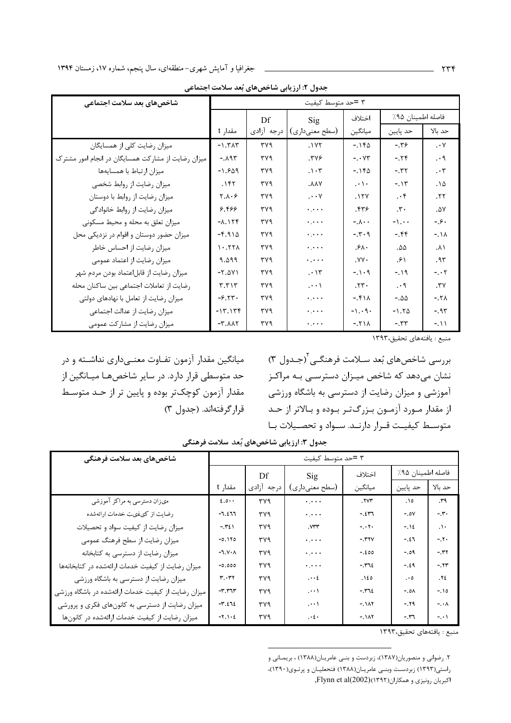| شاخصهای بعد سلامت اجتماعی                          |                 |            | ۳ =حد متوسط کیفیت                    |                        |                   |                        |
|----------------------------------------------------|-----------------|------------|--------------------------------------|------------------------|-------------------|------------------------|
|                                                    |                 | Df         | Sig                                  | اختلاف                 | فاصله اطمينان ٩۵٪ |                        |
|                                                    | مقدار t         | درجه أزادى | (سطح معنىداري)                       | ميانگين                | حد پايين          | حد بالا                |
| میزان رضایت کلی از همسایگان                        | $-1.7\lambda$   | ٣٧٩        | . $1YY$                              | $-1180$                | $-19.$            | $\cdot$ Y              |
| میزان رضایت از مشارکت همسایگان در انجام امور مشترک | $-. \lambda$ ۹۳ | ۳۷۹        | ۳۷۶.                                 | $- \cdot \gamma \tau$  | $-75$             | $\cdot$ 9              |
| ميزان ارتباط با همسايهها                           | $-1.909$        | ۳۷۹        | . $\mathcal{N}$ .                    | $-1180$                | $-5.55$           | . $\mathbf{\tau}$      |
| میزان رضایت از روابط شخصی                          | $.1$ ۴۲         | ۳۷۹        | <b>AAY</b> .                         | $\cdot \cdot \cdot$    | $-117$            | $.1\Delta$             |
| میزان رضایت از روابط با دوستان                     | 7.1.9           | ۳۷۹        | $\cdots$ Y                           | .17Y                   | $\cdot$ ۴         | .77                    |
| میزان رضایت از روابط خانوادگی                      | ۶.۴۶۶           | ۳۷۹        | $\ddotsc$                            | .579                   | $\cdot$           | .0V                    |
| میزان تعلق به محله و محیط مسکونی                   | $-1.15f$        | ۳۷۹        | $\ddots$                             | $-\lambda \cdot \cdot$ | $-1.$             | ۰ ع. -                 |
| میزان حضور دوستان و اقوام در نزدیکی محل            | $-5.910$        | ۳۷۹        | $\epsilon$ , $\epsilon$ , $\epsilon$ | $-1.7.9$               | $-0.55$           | $-11$                  |
| میزان رضایت از احساس خاطر                          | 1.77            | ۳۷۹        | $\ddotsc$                            | .54.                   | ۵۵.               | ۸۱.                    |
| میزان رضایت از اعتماد عمومی                        | 9.099           | ۳۷۹        | $\ddotsc$                            | $.YY \cdot$            | ۶۱.               | .۹۳                    |
| میزان رضایت از قابلاعتماد بودن مردم شهر            | $-Y.\Delta Y$   | ۳۷۹        | $. \cdot \mathcal{N}$                | $-1.1 - 9$             | $-19$             | $- 7$                  |
| رضایت از تعاملات اجتماعی بین ساکنان محله           | $T.T \wedge T$  | ۳۷۹        | $\cdot\cdot\cdot$                    | .77.                   | $\cdot$ 9         | $\mathsf{r}\mathsf{v}$ |
| میزان رضایت از تعامل با نهادهای دولتی              | $-9.77.$        | ۳۷۹        | $\epsilon$ , $\epsilon$ , $\epsilon$ | $-511$                 | $-.00$            | $-.7A$                 |
| میزان رضایت از عدالت اجتماعی                       | $-17.179$       | ۳۷۹        | $\ddotsc$                            | $-1.49.$               | $-1.7\Delta$      | $-0.95$                |
| میزان رضایت از مشارکت عمومی                        | $-X.AAT$        | ۳۷۹        | $\epsilon$ , $\epsilon$ , $\epsilon$ | $-511$                 | $-5.55$           | $-111$                 |

جدول ۲: ارزیابی شاخصهای بُعد سلامت اجتماعی

میانگین مقدار آزمون تفـاوت معنـیداری نداشـته و در حد متوسطی قرار دارد. در سایر شاخصهـا میـانگین از مقدار آزمون کوچکتر بوده و پایین تر از حـد متوسـط قرار گرفتهاند. (جدول ۳)

بررسی شاخصهای بُعد سـلامت فرهنگـی<sup>٬</sup>(جـدول ۳) نشان میدهد که شاخص میـزان دسترسـی بـه مراکـز آموزشی و میزان رضایت از دسترسی به باشگاه ورزشی از مقدار مــورد آزمــون بــزرگ<code>تــر بــوده و بــالاتر از حــد</code> متوسط كيفيت قرار دارنـد. سـواد و تحصـيلات بـا

منبع : يافتههاى تحقيق،١٣٩٣

| شاخصهای بعد سلامت فرهنگی                            | ۳ =حد متوسط کیفیت                     |            |                |               |                   |                   |
|-----------------------------------------------------|---------------------------------------|------------|----------------|---------------|-------------------|-------------------|
|                                                     |                                       | Df         | Sig            | اختلاف        | فاصله اطمينان ٩۵٪ |                   |
|                                                     | مقدار t                               | درجه أزادى | (سطح معنىداري) | ميانگين       | حد پایین          | حد بالا           |
| مىزان دسترسى به مراكز آموزشى                        | $2.0 \cdot \cdot$                     | ٣٧٩        | $\ddotsc$      | .111          | .10               | .14               |
| رضایت از کیفیت خدمات ارائهشده                       | $-1.211$                              | ٣٧٩        | $\ddotsc$      | $-257$        | $-.0V$            | $-\mathbf{r}$ .   |
| میزان رضایت از کیفیت سواد و تحصیلات                 | $-\gamma\epsilon$                     | ۳۷۹        | $Y^*Y$         | $-$ . $+$ $+$ | $-.12$            | $\Lambda$ .       |
| میزان رضایت از سطح فرهنگ عمومی                      | $-0.110$                              | ٣٧٩        | $\ddotsc$      | $-.$ ۳۲ $V$   | $-21$             | $-11.$            |
| میزان رضایت از دسترسی به کتابخانه                   | $-\lambda \cdot \gamma \cdot \lambda$ | ۳۷۹        | $\ddotsc$      | $-.200$       | $-.09$            | $-.$ ۳۲           |
| میزان رضایت از کیفیت خدمات ارائهشده در کتابخانهها   | $-0.000$                              | ۳۷۹        | $\ddotsc$      | $-1412$       | $-.29$            | $-.77$            |
| میزان رضایت از دسترسی به باشگاه ورزشی               | $\mathbf{r}\cdot\mathbf{r}$           | ۳۷۹        | $\cdots$       | .120          | .<br>- $\circ$    | $.12$             |
| میزان رضایت از کیفیت خدمات ارائهشده در باشگاه ورزشی | $-r. r\tau r$                         | ٣٧٩        | $\cdots$ )     | $-1415$       | $-.0A$            | $-10$             |
| میزان رضایت از دسترسی به کانونهای فکری و پرورشی     | $-\mathbf{r}.\mathbf{z}$ ٦٤           | ۳۷۹        | $\cdots$       | $-.111$       | $-19$             | -. $\cdot \wedge$ |
| میزان رضایت از کیفیت خدمات ارائهشده در کانونها      | $-Y \wedge Y$                         | ۳۷۹        | $\cdot$ 2.     | $-111$        | ۳٦.-              | $-$ . $\cdot$     |

جدول ٣: ارزيابي شاخصهاي بُعد سلامت فرهنگي

منبع : يافتههاى تحقيق،١٣٩٣

۲. رضوانی و منصوریان(۱۳۸۷)، زبردست و بنـی عامریـان(۱۳۸۸) ، بریمـانی و

راستی(۱۳۹۳) زبردست وبنی عامریان(۱۳۸۸) فتحعلیان و پرتوی(۱۳۹۰)،

اکبریان رونیزی و همکاران(١٣٩٢)(Flynn et al(2002).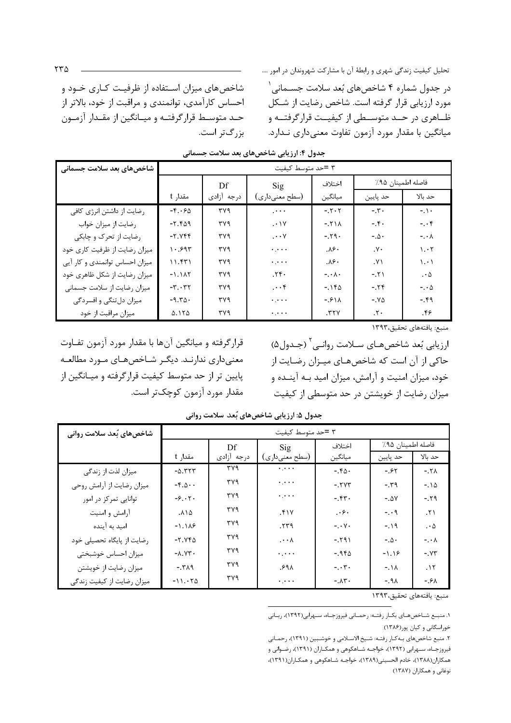| شاخصهای بعد سلامت جسمانی       |                                        |            | ۳ =حد متوسط کیفیت         |                        |                        |                        |  |
|--------------------------------|----------------------------------------|------------|---------------------------|------------------------|------------------------|------------------------|--|
|                                | Df                                     |            | $\mathrm{Sig}$            | اختلاف                 |                        | فاصله اطمينان ٩۵٪      |  |
|                                | مقدار t                                | درجه أزادى | (سطح معنىداري)            | ميانگين                | حد پايين               | حد بالا                |  |
| رضایت از داشتن انرژی کافی      | $-\mathfrak{f}\cdot\mathfrak{f}\Delta$ | ٣٧٩        | $\mathbb{R}^{2\times 2}$  | $-.7.7$                | $-\mathbf{r}$ .        | $-1$ .                 |  |
| رضایت از میزان خواب            | $-7.909$                               | ۳۷۹        | $. \cdot \vee$            | $-.71A$                | $-$ . $\mathfrak{f}$ . | $- \cdot f$            |  |
| رضایت از تحرک و چابکی          | $-Y. YFF$                              | ۳۷۹        | .<br><br>• $\cdot$ $\vee$ | $-.79.$                | $-0.0$                 | $-$ . $\cdot$ $\wedge$ |  |
| میزان رضایت از ظرفیت کاری خود  | 1.997                                  | ۳۷۹        | $\ddotsc$                 | $\lambda$ ۶.           | $\cdot$                | 1.17                   |  |
| میزان احساس توانمندی و کار آیی | 11.551                                 | ۳۷۹        | $\ddotsc$                 | $\lambda$ ۶.           | $\mathsf{y}$           | $\lambda$ . $\lambda$  |  |
| میزان رضایت از شکل ظاهری خود   | $-1.1AT$                               | ۳۷۹        | .7f.                      | $- \cdot \wedge \cdot$ | $-5.51$                | $\cdot \Delta$         |  |
| میزان رضایت از سلامت جسمانی    | $-\mathbf{r}\cdot\mathbf{r}$           | ۳۷۹        | $\cdots$ ۴                | $-150$                 | $-0.55$                | $-\cdot \Delta$        |  |
| میزان دلتنگی و افسردگی         | $-9.70$                                | ۳۷۹        | $\ddotsc$                 | $-581A$                | $-X\Delta$             | $-0.99$                |  |
| میزان مراقبت از خود            | 0.170                                  | ۳۷۹        | $\ddotsc$                 | .77V                   | $\cdot$ .              | ۴۶.                    |  |

جدول ۴: ارزیابی شاخصهای بعد سلامت جسمانی

بزرگتر است.

قرارگرفته و میانگین آنها با مقدار مورد آزمون تفـاوت معنیداری ندارنـد. دیگـر شـاخصهـای مـورد مطالعـه پایین تر از حد متوسط کیفیت قرارگرفته و میـانگین از مقدار مورد آزمون کوچکتر است.

شاخصهای میزان استفاده از ظرفیت کاری خـود و

احساس كارآمدي، توانمندي و مراقبت از خود، بالاتر از حـد متوسـط قرارگرفتـه و ميـانگين از مقـدار آزمـون

منبع: يافتههاى تحقيق،١٣٩٣

ارزيابي بُعد شاخصهـاي ســلامت روانــي<sup>٬</sup> (جــدول۵) حاکی از آن است که شاخصهای میـزان رضـایت از خود، میزان امنیت و آرامش، میزان امید بـه آینـده و میزان رضایت از خویشتن در حد متوسطی از کیفیت

| شاخصهای بُعد سلامت روانی   | ۳ =حد متوسط کیفیت                  |            |                                             |                         |                   |                 |  |  |
|----------------------------|------------------------------------|------------|---------------------------------------------|-------------------------|-------------------|-----------------|--|--|
|                            |                                    | Df         | $\mathrm{Sig}$                              | اختلاف                  | فاصله اطمينان ٩۵٪ |                 |  |  |
|                            | مقدار t                            | درجه آزادى | (سطح معنىداري)                              | ميانگين                 | حد پايين          | حد ىالا         |  |  |
| میزان لذت از زندگی         | $-\Delta.$ ٣٢٣                     | ۳۷۹        | $\epsilon_1\bar{\epsilon}\to\bar{\epsilon}$ | $-.70.$                 | $-.55$            | $-.YA$          |  |  |
| میزان رضایت از آرامش روحی  | $-\mathfrak{f}.\Delta \cdot \cdot$ | ۳۷۹        | $\epsilon$ , $\epsilon$ , $\epsilon$        | $-.7YT$                 | $-14$             | $-.10$          |  |  |
| توانایی تمرکز در امور      | $-\xi \cdot \zeta$                 | ۳۷۹        | $\ddotsc$                                   | $-5.54$                 | $-.AV$            | $-.79$          |  |  |
| أرامش وامنيت               | ۰۸۱۵                               | ۳۷۹        | .51Y                                        | $\cdot$ .               | $ \cdot$ 9        | .51             |  |  |
| امید به آینده              | $-1.119$                           | ۳۷۹        | .579                                        | $-\cdot y$ .            | $-19$             | $\cdot \Delta$  |  |  |
| رضایت از پایگاه تحصیلی خود | $-Y.YF\Delta$                      | ۳۷۹        | .<br><br>•<br>• $\lambda$                   | $-791$                  | $-\Delta$ .       | $-\cdot \wedge$ |  |  |
| ميزان احساس خوشبختى        | $-X.YY$                            | ۳۷۹        | $\ddotsc$                                   | $-19F\Delta$            | $-1.19$           | $-.Y^{\prime}$  |  |  |
| میزان رضایت از خویشتن      | $PAY. -$                           | ۳۷۹        | ٬۶۹۸                                        | $- \cdot r \cdot$       | $-11$             | . $\lambda$     |  |  |
| میزان رضایت از کیفیت زندگی | $-11.70$                           | ۳۷۹        | $\ddotsc$                                   | $-. \Lambda \Upsilon$ . | $-191$            | $-9\lambda$     |  |  |

جدول ۵: ارزیابی شاخصهای بُعد سلامت روانی

منبع: يافتههاى تحقيق،١٣٩٣

١. منبع شـاخصهـای بکـار رفتـه: رحمـانی فیروزجـاه، سـهرابی(١٣٩٢)، ربـانی خوراسگانی و کیان پور(۱۳۸۶)

۲. منبع شاخصهای بـه کـار رفتـه: شـیخ الاسـلامی و خوشـبین (۱۳۹۱)، رحمـانی فیروزجـاه، سـهرابی (۱۳۹۲)، خواجـه شـاهکوهی و همکـاران (۱۳۹۱)، رضـوانی و همكاران(۱۳۸۸)، خادم الحسيني(۱۳۸۹)، خواجـه شـاهكوهي و همكـاران(۱۳۹۱)، نوغانی و همکاران (۱۳۸۷)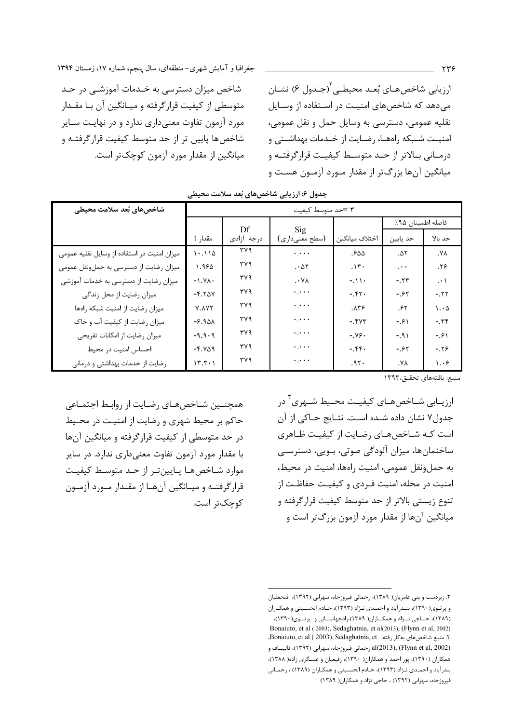جغرافیا و آمایش شهری-منطقهای، سال پنجم، شماره ۱۷، زمستان ۱۳۹۴

شاخص میزان دسترسی به خـدمات آموزشــی در حـد متوسطی از کیفیت قرارگرفته و میـانگین آن بـا مقـدار مورد آزمون تفاوت معنیداری ندارد و در نهایت سـایر شاخصها پایین تر از حد متوسط کیفیت قرارگرفتـه و میانگین از مقدار مورد آزمون کوچکتر است. ارزيابي شاخصهـاي بُعـد محيطـي (جـدول ۶) نشـان می دهد که شاخصهای امنیت در استفاده از وسایل نقليه عمومي، دسترسي به وسايل حمل و نقل عمومي، امنیت شـبکه راههـا، رضـایت از خـدمات بهداشـتي و درمـانی بـالاتر از حـد متوسـط کیفیـت قرارگرفتـه و میانگین آنها بزرگ تر از مقدار مـورد آزمـون هسـت و

| شاخصهای بُعد سلامت محیطی                    |                | ۳ =حد متوسط کیفیت |                                             |                    |                   |                                                                   |  |  |  |  |
|---------------------------------------------|----------------|-------------------|---------------------------------------------|--------------------|-------------------|-------------------------------------------------------------------|--|--|--|--|
|                                             |                |                   |                                             |                    | فاصله اطمينان ٩۵٪ |                                                                   |  |  |  |  |
|                                             | مقدار t        | Df<br>درجه أزادى  | Sig<br>(سطح معنىداري)                       | اختلاف ميانگين     | حد پایین          | حد بالا                                                           |  |  |  |  |
| میزان امنیت در استفاده از وسایل نقلیه عمومی | 1.110          | ۳۷۹               | $\ddotsc$                                   | ۵۵.                | .07               | $\mathsf{Y}\mathsf{Y}$                                            |  |  |  |  |
| میزان رضایت از دسترسی به حملونقل عمومی      | 1.980          | ۳۷۹               | $. \cdot \Delta Y$                          | .15.               | $\ddots$          | .79                                                               |  |  |  |  |
| میزان رضایت از دسترسی به خدمات آموزشی       | $-YY$          | ۳۷۹               | $\cdot$ Y A                                 | $-11.$             | $-.77$            | $\cdot \cdot$                                                     |  |  |  |  |
| میزان رضایت از محل زندگی                    | $-F.Y\Delta V$ | ۳۷۹               | $\epsilon$ , $\epsilon$ , $\epsilon$        | $-5.57.$           | $-0.85$           | $-55$                                                             |  |  |  |  |
| ميزان رضايت از امنيت شبكه راهها             | Y.AYT          | ۳۷۹               | $\epsilon$ , $\epsilon$ , $\epsilon$        | $. \lambda \tau$ ۶ | ۶۲.               | $\mathord{\mathord{\text{I}}} \cdot \mathord{\mathord{\text{A}}}$ |  |  |  |  |
| میزان رضایت از کیفیت آب و خاک               | $-9.901$       | ۳۷۹               | $\epsilon_1\bar{\epsilon}\to\bar{\epsilon}$ | $-$ . $fVT$        | $-91$             | $-14.7$                                                           |  |  |  |  |
| میزان رضایت از امکانات تفریحی               | $-9.9.9$       | ۳۷۹               | $\epsilon$ , $\epsilon$ , $\epsilon$        | $-Y$ ۶.            | $-191$            | $-91$                                                             |  |  |  |  |
| احساس امنيت در محيط                         | $-Y.Y\Delta$ ۹ | ۳۷۹               | $\ddotsc$                                   | $-5.54$            | $-.55$            | $-0.19$                                                           |  |  |  |  |
| رضایت از خدمات بهداشتی و درمانی             | $17.7 - 1$     | ۳۷۹               | $\cdot$ , $\cdot$ .                         | .97.               | ٠٧٨               | $\mathcal{N} \cdot \mathcal{S}$                                   |  |  |  |  |

جدول ۶: ارزیابی شاخصهای بُعد سلامت محیطی

منبع: يافتههاي تحقيق،١٣٩٣

همچنــین شــاخصهــای رضــایت از روابـط اجتمــاعی حاکم بر محیط شهری و رضایت از امنیت در محیط در حد متوسطی از کیفیت قرارگرفته و میانگین آنها با مقدار مورد آزمون تفاوت معنیداری ندارد. در سایر موارد شـاخصهـا پـايينتـر از حـد متوسـط كيفيـت قرارگرفتـه و میـانگین آنهـا از مقـدار مـورد آزمـون كوچكتر است. ارزیــابی شــاخصهــای کیفیــت محــیط شــهری<sup>۳</sup> در جدول۷ نشان داده شـده اسـت. نتـايج حـاكي از آن است که شاخصهای رضایت از کیفیت ظاهری ساختمانها، میزان آلودگی صوتی، بـویی، دسترسـی به حملونقل عمومي، امنيت راهها، امنيت در محيط، امنیت در محله، امنیت فـردی و کیفیـت حفاظـت از تنوع زیستی بالاتر از حد متوسط کیفیت قرارگرفته و میانگین آنها از مقدار مورد آزمون بزرگتر است و

۲. زبردست و بنی عامریان( ۱۳۸۹)، رحمانی فیروزجاه، سهرابی (۱۳۹۲)، فتحعلیان و پرتوی(۱۳۹۰)، بنـدرآباد و احمـدی نـژاد (۱۳۹۳)، خـادم الحسـينی و همكـاران (۱۳۸۹)، حساجی نسژاد و همکساران( ۱۳۸۹)،رادجهانبسانی و پرتسوی(۱۳۹۰)، Bonaiuto, et al (2003), Sedaghatnia, et al(2013), (Flynn et al, 2002) ۳. منبع شاخصهای به کار رفته: Bonaiuto, et al ( 2003), Sedaghatnia, et, al(2013), (Flynn et al, 2002) رحماني فيروزجاه، سهرابي (١٣٩٢)، قاليبــاف و همکاران (۱۳۹۰)، پور احمد و همکاران( ۱۳۹۰)، رفیعیان و عسـگری زاده( ۱۳۸۸)، بندرآباد و احمـدي نـژاد (١٣٩٣)، خـادم الحسـيني و همكـاران (١٣٨٩) ، رحمـاني فیروزجاه، سهرابی (۱۳۹۲) ، حاجی نژاد و همکاران( ۱۳۸۹)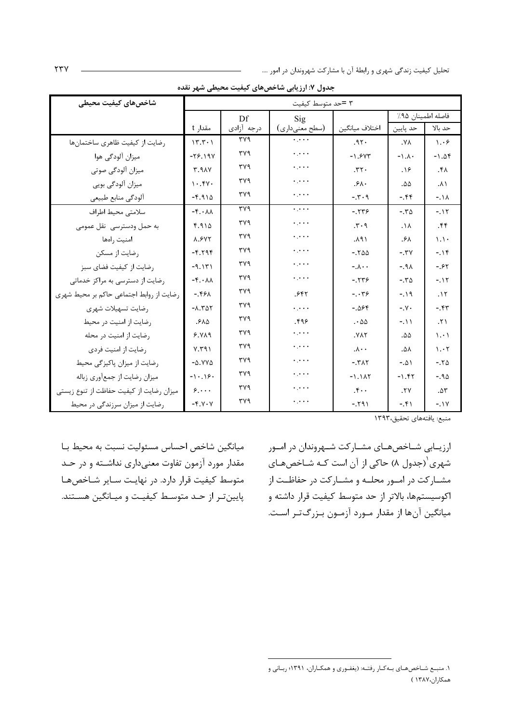| شاخصهای کیفیت محیطی                      |                                    |            | ۳ =حد متوسط کیفیت                    |                        |                        |                                |
|------------------------------------------|------------------------------------|------------|--------------------------------------|------------------------|------------------------|--------------------------------|
|                                          |                                    | Df         | Sig                                  |                        | فاصله اطمينان ٩۵٪      |                                |
|                                          | مقدار t                            | درجه آزادى | (سطح معنىداري)                       | اختلاف ميانگين         | حد پايين               | حد بالا                        |
| رضايت از كيفيت ظاهرى ساختمانها           | 15.5.1                             | ۳۷۹        | $\ddotsc$                            | .97.                   | $\mathsf{Y}\mathsf{Y}$ | $\lambda \cdot 5$              |
| میزان آلودگی هوا                         | $-79.19V$                          | ٣٧٩        | $\epsilon$ , $\epsilon$ , $\epsilon$ | $-1.5YT$               | $-1.1.$                | $-1.05$                        |
| میزان آلودگی صوتی                        | T.9AY                              | ٣٧٩        | $\ddotsc$                            | .77.                   | .19                    | .54                            |
| میزان آلودگی بویی                        | 1.54                               | ٣٧٩        | $\ddotsc$                            | .54.                   | ۵۵.                    | ۰۸۱                            |
| ألودكي منابع طبيعي                       | $-F.910$                           | ٣٧٩        | $\ddotsc$                            | $-5.7.9$               | $-0.99$                | $-11$                          |
| سلامتي محيط اطراف                        | $-\mathfrak{f}\cdot\lambda\lambda$ | ٣٧٩        | $\ddotsc$                            | $-5779$                | $-.70$                 | $-11$                          |
| به حمل ودسترسی نقل عمومی                 | 4.910                              | ٣٧٩        | $\ddotsc$                            | .5.9                   | $\Lambda$              | .55                            |
| امنيت رامها                              | <b>A.SVY</b>                       | ٣٧٩        | $\ddotsc$                            | ۰۸۹۱                   | ۰۶۸                    | $\setminus \setminus$          |
| رضایت از مسکن                            | $-F.79F$                           | ۳۷۹        | $\epsilon$ , $\epsilon$ , $\epsilon$ | $-.700$                | $-.7V$                 | $-15$                          |
| رضايت از كيفيت فضاي سبز                  | $-9.151$                           | ۳۷۹        | $\ddotsc$                            | $-\lambda \cdot \cdot$ | $-191$                 | $-0.85$                        |
| رضایت از دسترسی به مراکز خدماتی          | $-\mathfrak{f}\cdot\lambda\lambda$ | ۳۷۹        | $\ddotsc$                            | $-5779$                | $-\sqrt{6}$            | $-115$                         |
| رضایت از روابط اجتماعی حاکم بر محیط شهری | $-59A$                             | ۳۷۹        | ۶۴۲.                                 | $-0.79$                | $-19$                  | .15                            |
| رضايت تسهيلات شهرى                       | $-1.501$                           | ۳۷۹        | $\ddotsc$                            | $-.088$                | $-\gamma$ .            | $-0.55$                        |
| رضایت از امنیت در محیط                   | .510                               | ٣٧٩        | ۹۶.                                  | $\cdot \omega$         | $-11$                  | $\mathcal{N}$                  |
| رضایت از امنیت در محله                   | 9.119                              | ۳۷۹        | ولواوة                               | .VAY                   | ۵۵.                    | $\langle \cdot, \cdot \rangle$ |
| رضايت از امنيت فردى                      | Y. Y 91                            | ٣٧٩        | $\epsilon$ , $\epsilon$ , $\epsilon$ | $\cdot \cdot \lambda$  | ۸۵.                    | 1.7                            |
| رضایت از میزان پاکیزگی محیط              | $-\Delta$ . YY $\Delta$            | ۳۷۹        | $\ddotsc$                            | $-.TAT$                | $-.01$                 | $-.70$                         |
| میزان رضایت از جمعأوري زباله             | $-1.19.$                           | ۳۷۹        | $\epsilon$ , $\epsilon$ ,            | $-1.1AT$               | $-1.55$                | $-.90$                         |
| میزان رضایت از کیفیت حفاظت از تنوع زیستی | $\mathcal{S}, \cdots$              | ۳۷۹        | $\ddotsc$                            | $\cdot$                | .7V                    | $. \Delta \mathsf{r}$          |
| رضایت از میزان سرزندگی در محیط           | $-Y.Y.Y$                           | ٣٧٩        | $\epsilon$ , $\epsilon$ , $\epsilon$ | $-791$                 | $-5 + 1$               | $-.1V$                         |

جدول ۷: ارزیابی شاخصهای کیفیت محیطی شهر نقده

ميانگين شاخص احساس مسئوليت نسبت به محيط بــا مقدار مورد آزمون تفاوت معنىدارى نداشته و در حد متوسط کیفیت قرار دارد. در نهایت سـایر شـاخصهـا پایین تـر از حـد متوسـط کیفیـت و میـانگین هسـتند.

ارزیــابی شــاخصهــای مشــارکت شــهروندان در امــور شهری ٰ(جدول ۸) حاکی از آن است کـه شــاخصهـای مشــارکت در امــور محلــه و مشــارکت در حفاظــت از اکوسیستمها، بالاتر از حد متوسط کیفیت قرار داشته و میانگین آنها از مقدار مـورد آزمـون بـزرگ<code>تـر اسـت.</code>

۱. منبع شـاخصهـای بـهکـار رفتـه: (يغفـوري و همکـاران، ۱۳۹۱؛ ربـاني و همكاران،١٣٨٧ )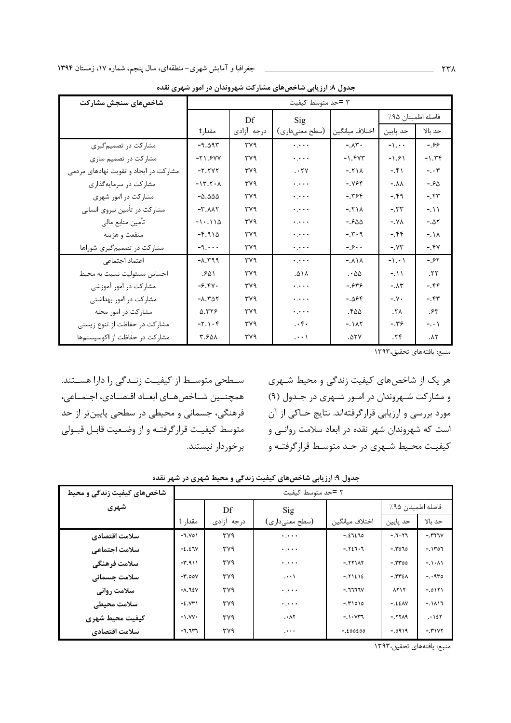| شاخصهای سنجش مشارکت                   |                         |            | ۳ =حد متوسط کیفیت |                         |                       |                 |
|---------------------------------------|-------------------------|------------|-------------------|-------------------------|-----------------------|-----------------|
|                                       |                         | Df         | Sig               |                         | فاصله اطمينان ٩۵٪     |                 |
|                                       | مقدارt                  | درجه أزادى | (سطح معنىداري)    | اختلاف ميانگين          | حد پايين              | حد بالا         |
| مشارکت در تصمیم گیری                  | $-9.095$                | ٣٧٩        | $\ddotsc$         | $-. \lambda \Upsilon$ . | $-\lambda$            | $-99$           |
| مشارکت در تصمیم سازی                  | $-71.9YY$               | ٣٧٩        | $\ddotsc$         | $-1.5YT$                | $-1.91$               | $-1.79$         |
| مشارکت در ایجاد و تقویت نهادهای مردمی | $-Y.$                   | ۳۷۹        | .77               | $-.71A$                 | $-5 + 1$              | $- \cdot r$     |
| مشارکت در سرمایهگذاری                 | $-15.7.1$               | ۳۷۹        | $\ddotsc$         | $-1995$                 | $-.AA$                | $-90$           |
| مشارکت در امور شهری                   | $-\Delta$ .000          | ۳۷۹        | $\ddotsc$         | $-198$                  | $-19$                 | $-.57$          |
| مشارکت در تأمین نیروی انسانی          | $-T.AAT$                | ۳۷۹        | $\ddotsc$         | $-.71A$                 | $-5.55$               | $-111$          |
| تأمين منابع مالي                      | $-1.110$                | ۳۷۹        | $\ddotsc$         | $-.500$                 | $-X\lambda$           | $-.ΔY$          |
| منفعت و هزينه                         | $-5.910$                | ۳۷۹        | $\ddotsc$         | $-1.7.9$                | $-0.55$               | $-111$          |
| مشارکت در تصمیم گیری شوراها           | $-9. \cdot \cdot \cdot$ | ۳۷۹        | $\ddotsc$         | $-9.8$                  | $-1YY$                | $-5.5V$         |
| اعتماد اجتماعى                        | $-1.599$                | ٣٧٩        | $\ddots$          | $-.A1A$                 | $-1.1$                | $-0.85$         |
| احساس مسئوليت نسبت به محيط            | .۶۵۱                    | ٣٧٩        | ۸۱۸.              | . - $\Delta\Delta$      | $-111$                | .57             |
| مشارکت در امور آموزشی                 | $-5.5V$                 | ۳۷۹        | $\ddotsc$         | $-.549$                 | $-. \Lambda \Upsilon$ | $-0.88$         |
| مشارکت در امور بهداشتی                | $-X.T\Delta Y$          | ۳۷۹        | $\ddotsc$         | $-.099$                 | $-\gamma$ .           | $-0.54$         |
| مشارکت در امور محله                   | 5.٣٢۶                   | ۳۷۹        | $\ddotsc$         | .644                    | $\mathcal{N}$         | ۴۴.             |
| مشارکت در حفاظت از تنوع زیستی         | $-Y.1.9$                | ۳۷۹        | $\cdot$ .         | $-.1AT$                 | $-19.$                | $-$ . $\cdot$ ) |
| مشاركت در حفاظت از اكوسيستمها         | ۴.۶۵۸                   | ۳۷۹        | $\cdots$          | .07Y                    | .79                   | $\Lambda$ ٢     |

جدول ۸: ارزیابی شاخصهای مشارکت شهروندان در امور شهری نقده

منبع: يافتههاى تحقيق،١٣٩٣

سطحی متوسط از کیفیت زندگی را دارا هستند. همچنــین شــاخصهــای ابعــاد اقتصــادی، اجتمــاعی، فرهنگی، جسمانی و محیطی در سطحی پایینتر از حد متوسط كيفيـت قرارگرفتـه و از وضـعيت قابـل قبـولى برخوردار نيستند. هر یک از شاخصهای کیفیت زندگی و محیط شـهری و مشارکت شـهروندان در امـور شـهری در جـدول (۹) مورد بررسی و ارزیابی قرارگرفتهاند. نتایج حـاکی از آن است که شهروندان شهر نقده در ابعاد سلامت روانـی و کیفیت محـیط شـهری در حـد متوسـط قرارگرفتـه و

|  |  |  |  |  |  |  |  |  |  |  | جدول ۹: ارزیابی شاخصهای کیفیت زندگی و محیط شهری در شهر نقده |
|--|--|--|--|--|--|--|--|--|--|--|-------------------------------------------------------------|
|--|--|--|--|--|--|--|--|--|--|--|-------------------------------------------------------------|

| شاخصهای کیفیت زندگی و محیط |                                | ۳ =حد متوسط کیفیت |                                           |                |                   |          |  |  |  |
|----------------------------|--------------------------------|-------------------|-------------------------------------------|----------------|-------------------|----------|--|--|--|
| شهري                       |                                | Df                | $\mathrm{Sig}$                            |                | فاصله اطمينان ٩۵٪ |          |  |  |  |
|                            | مقدا <sub>د</sub> t            | درجه آزادى        | (سطح معنىداري)                            | اختلاف ميانگين | حد پايين          | حد ىالا  |  |  |  |
| سلامت اقتصادي              | $-1.501$                       | ۳۷۹               | $\ddotsc$                                 | $-2220$        | $-7.177$          | $-1441V$ |  |  |  |
| سلامت اجتماعي              | $-2.27V$                       | ۳۷۹               | $\bullet$ , $\bullet$ $\bullet$ $\bullet$ | $-1927.7$      | $-0.7070$         | $-11707$ |  |  |  |
| سلامت فرهنگى               | $-1.911$                       | ۳۷۹               | $\ldots$                                  | $-11111$       | $-500$            | $-1.1.1$ |  |  |  |
| سلامت جسمانى               | $-\mathbf{r}$ ,00 $\mathbf{v}$ | ۳۷۹               | $\cdots$                                  | $-.71212$      | $-.$ ٣٣٤ $\wedge$ | $-0.970$ |  |  |  |
| سلامت رواني                | $-A.$ $YY$                     | ۳۷۹               | $\ddotsc$                                 | $-11111V$      | <b>AYIY</b>       | $-0111$  |  |  |  |
| سلامت محيطى                | $-2.5$                         | ۳۷۹               | $\ddotsc$                                 | $-5000$        | $-.22AN$          | $-1117$  |  |  |  |
| كيفيت محيط شهري            | $-N. W$                        | ۳۷۹               | .41                                       | $-1.1.047$     | $-111.9$          | .127     |  |  |  |
| سلامت اقتصادي              | $-7.717$                       | ۳۷۹               | $\cdots$                                  | $-.E00E00$     | $-.0919$          | $-141YY$ |  |  |  |

منبع: يافتههاى تحقيق،١٣٩٣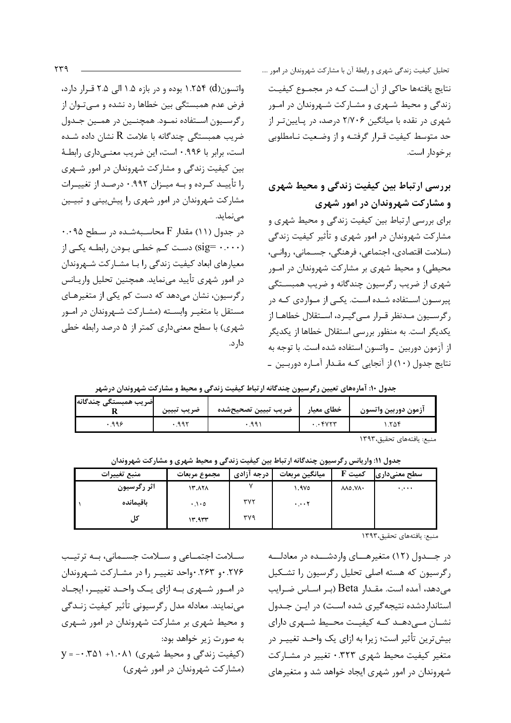تحلیل کیفیت زندگی شهری و رابطهٔ آن با مشارکت شهروندان در امور …. نتايج يافتهها حاكي از آن است كـه در مجمـوع كيفيـت زندگی و محیط شـهری و مشـارکت شـهروندان در امـور شهری در نقده با میانگین ۲/۷۰۶ درصد، در پـایینتـر از حد متوسط كيفيت قـرار گرفتـه و از وضـعيت نـامطلوبي برخودار است.

## بررسی ارتباط بین کیفیت زندگی و محیط شهری و مشارکت شهروندان در امور شهری

برای بررسی ارتباط بین کیفیت زندگی و محیط شهری و مشارکت شهروندان در امور شهری و تأثیر کیفیت زندگی (سلامت اقتصادی، اجتماعی، فرهنگی، جسـمانی، روانـی، محیطی) و محیط شهری بر مشارکت شهروندان در امـور شهری از ضریب رگرسیون چندگانه و ضریب همبستگی پیرسون استفاده شـده اسـت. یکـی از مـواردی کـه در رگرسیون مـدنظر قـرار مـی¢یـرد، اسـتقلال خطاهـا از یکدیگر است. به منظور بررسی استقلال خطاها از یکدیگر از آزمون دوربین \_واتسون استفاده شده است. با توجه به نتایج جدول (۱۰) از آنجایی کـه مقـدار آمـاره دوربـین ـ

واتسون(d) ۱.۲۵۴ بوده و در بازه ۱.۵ الی ۲.۵ قرار دارد، فرض عدم همبستگی بین خطاها رد نشده و مـیتـوان از رگرسيون استفاده نمـود. همچنـين در همـين جـدول ضریب همبستگی چندگانه با علامت R نشان داده شـده است، برابر با ۰.۹۹۶ است، این ضریب معنـیداری رابطـهٔ بین کیفیت زندگی و مشارکت شهروندان در امور شـهری را تأییـد کـرده و بـه میـزان ۰.۹۹۲ درصـد از تغییـرات مشارکت شهروندان در امور شهری را پیشبینی و تبیـین مے نماید.

۰.۰۹۵ (۱۱) مقدار  $F$  محاسبهشده در سطح ۰.۰۹۵ (sig= ۰.۰۰۰) دست کـم خطـی بـودن رابطـه یکـی از معیارهای ابعاد کیفیت زندگی را با مشـارکت شـهروندان در امور شهری تأیید مینماید. همچنین تحلیل واریـانس رگرسیون، نشان میدهد که دست کم یکی از متغیرهـای مستقل با متغیـر وابسـته (مشـارکت شـهروندان در امـور شهری) با سطح معنی داری کمتر از ۵ درصد رابطه خطی دا, د.

جدول ۱۰: آمارههای تعیین رگرسیون چندگانه ارتباط کیفیت زندگی و محیط و مشارکت شهروندان درشهر

| اضريب همبستگى چندگانه | ضريب تبيين | ضريب تبيين تصحيحشده | خطاي معيار  | ازمون دوربين واتسون |
|-----------------------|------------|---------------------|-------------|---------------------|
| 996                   | ۹۹۲.       |                     | <b>FVYY</b> | ۲۵۲.                |

منيع: بافتههاي تحقيق،١٣٩٣

جدول ۱۱: واریانس رگرسیون چندگانه ارتباط بین کیفیت زندگی و محیط شهری و مشارکت شهروندان

| منبع تغييرات | مجموع مربعات        | درجه آزادی | ميانگين مربعات | ${\bf F}$ کمیت | سطح معنیداری                    |
|--------------|---------------------|------------|----------------|----------------|---------------------------------|
| اثر رگرسیون  | 17. 171             |            | ۹۷۵. ۱         | MO.N           | $\mathbf{A}$ , and $\mathbf{A}$ |
| باقيمانده    | $\cdot \cdot \cdot$ | ۳۷۲        | $\cdots$ Y     |                |                                 |
|              | 14.944              | ۳۷۹        |                |                |                                 |

منبع: يافتههاى تحقيق،١٣٩٣

در جــدول (١٢) متغيرهـــاي واردشـــده در معادلـــه رگرسیون که هسته اصلی تحلیل رگرسیون را تشکیل می دهد، آمده است. مقـدار Beta (بـر اسـاس ضـرایب استاندار دشده نتیجه گیری شده است) در ایـن جـدول نشان مے دھد کے کیفیت محیط شمری دارای بیش ترین تأثیر است؛ زیرا به ازای یک واحـد تغییـر در متغیر کیفیت محیط شهری ۰.۳۲۳ تغییر در مشـارکت شهروندان در امور شهری ایجاد خواهد شد و متغیرهای

سـلامت اجتمـاعي و سـلامت جسـماني، بـه ترتيـب ۰.۲۷۶ و ۲۶۳. واحد تغییـر را در مشـارکت شـهروندان در امــور شــهري بــه ازاي يــک واحــد تغييــر، ايجــاد می نمایند. معادله مدل رگرسیونی تأثیر کیفیت زنـدگی و محیط شهری بر مشارکت شهروندان در امور شـهری به صورت زیر خواهد بود:  $V = - \cdot \cdot \cdot \cdot$  (کیفیت زندگی و محیط شهری) ۰۸۱ $(5 - 5)$ ۰۰– ( (مشارکت شهروندان در امور شهری)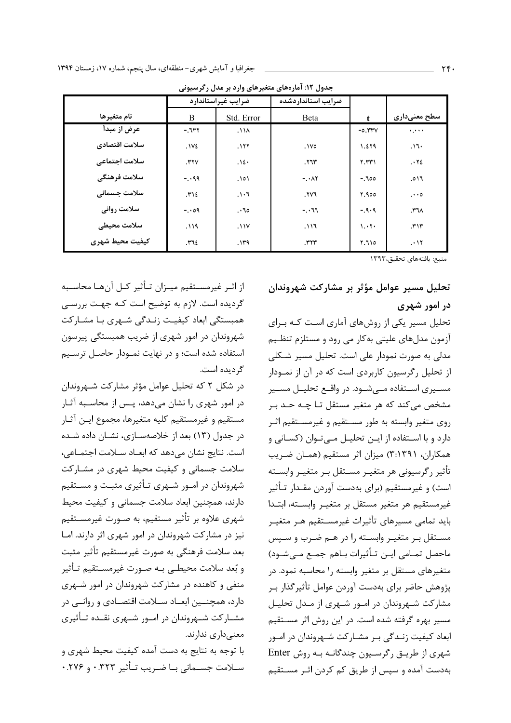|                 | ضرایب غیراستاندارد |                                 | ضرايب استانداردشده       |             |              |
|-----------------|--------------------|---------------------------------|--------------------------|-------------|--------------|
| نام متغيرها     | B                  | Std. Error                      | Beta                     | $\mathbf t$ | سطح معنیداری |
| عرض از مبدأ     | $-1177$            | ۸۱۸.                            |                          | $-0.114V$   | معمره        |
| سلامت اقتصادي   | .1V <sub>2</sub>   | .111                            | .1 <sub>V</sub>          | 1.279       | ۱٦۰.         |
| سلامت اجتماعي   | $.$ ۳۲ $V$         | .12.                            | .775                     | $Y.$ ۳۳ $Y$ | .72          |
| سلامت فرهنگي    | $-0.99$            | ۱۵۱.                            | $-$ . $\cdot$ $\wedge$ ۲ | $-100$      | ۱٦ه.         |
| سلامت جسمانی    | .712               | $\mathcal{F} \cdot \mathcal{F}$ | IV1                      | 7.900       | $\cdots$     |
| سلامت رواني     | $-.09$             | $\cdot$ 10                      | $-11$                    | $-9.9$      | $.77\lambda$ |
| سلامت محيطى     | .119               | .11V                            | ۶۱۱.                     | 1.17.       | .717         |
| كيفيت محيط شهري | ٢٦٤.               | ۱۳۹.                            | .٣٢٣                     | 7.710       | .11          |

جدول ۱۲: آمارههای متغیرهای وارد بر مدل رگرسیونی

منبع: يافتههاي تحقيق،١٣٩٣

تحليل مسير عوامل مؤثر بر مشاركت شهروندان در امور شهری

تحلیل مسیر یکی از روشهای آماری است کـه بـرای آزمون مدلهای علیتی بهکار می رود و مستلزم تنظیم مدلی به صورت نمودار علی است. تحلیل مسیر شـکلی از تحلیل رگرسیون کاربردی است که در آن از نمـودار مسـيري اسـتفاده مـيشـود. در واقـع تحليـل مسـير مشخص مي كند كه هر متغير مستقل تـا چـه حـد بـر روی متغیر وابسته به طور مسـتقیم و غیرمسـتقیم اثـر دارد و با استفاده از ایـن تحلیـل مـیتـوان (کسـانی و همکاران، ۳:۱۳۹۱) میزان اثر مستقیم (همـان ضـریب تأثير رگرسيوني هر متغيـر مسـتقل بـر متغيـر وابسـته است) و غیرمستقیم (برای بهدست آوردن مقـدار تـأثیر غيرمستقيم هر متغير مستقل بر متغيـر وابسـته، ابتـدا باید تمامی مسیرهای تأثیرات غیرمسـتقیم هـر متغیـر مستقل بر متغیـر وابسـته را در هـم ضـرب و سـپس ماحصل تمـامي ايـن تـأثيرات بـاهم جمـع مـىشـود) متغیرهای مستقل بر متغیر وابسته را محاسبه نمود. در پژوهش حاضر برای بهدست آوردن عوامل تأثیر گذار ب مشارکت شـهروندان در امـور شـهری از مـدل تحليـل مسیر بهره گرفته شده است. در این روش اثر مسـتقیم ابعاد کیفیت زنـدگی بـر مشـارکت شـهروندان در امـور شهری از طریق رگرسیون چندگانـه بـه روش Enter بهدست آمده و سپس از طریق کم کردن اثـر مسـتقیم

از اثـر غيرمســتقيم ميــزان تــأثير كــل آنهــا محاســبه گردیده است. لازم به توضیح است کـه جهـت بررسـی همبستگی ابعاد کیفیت زنـدگی شـهری بـا مشـارکت شهروندان در امور شهری از ضریب همبستگی پیرسون استفاده شده است؛ و در نهایت نمـودار حاصـل ترسـیم گردیده است.

در شکل ۲ که تحلیل عوامل مؤثر مشارکت شـهروندان در امور شهری را نشان میدهد، پـس از محاسـبه آثـار مستقيم و غيرمستقيم كليه متغيرها، مجموع ايـن آثـار در جدول (١٣) بعد از خلاصهســازي، نشــان داده شــده است. نتایج نشان میدهد که ابعـاد سـلامت اجتمـاعی، سلامت جسمانی و کیفیت محیط شهری در مشـارکت شهروندان در امــور شــهری تــأثیری مثبـت و مســتقیم دارند، همچنین ابعاد سلامت جسمانی و کیفیت محیط شهری علاوه بر تأثیر مستقیم، به صـورت غیرمســتقیم نیز در مشارکت شهروندان در امور شهری اثر دارند. امـا بعد سلامت فرهنگی به صورت غیرمستقیم تأثیر مثبت و بُعد سلامت محیطے به صـورت غیرمسـتقیم تـأثیر منفی و کاهنده در مشارکت شهروندان در امور شـهری دارد، همچنــین ابعــاد ســلامت اقتصــادی و روانــی در مشـارکت شـهروندان در امـور شـهري نقـده تـأثيري معنى دارى ندارند.

با توجه به نتایج به دست آمده کیفیت محیط شهری و سلامت جسـمانى بـا ضـريب تـأثير ٠.٣٢٣ و ٢٧۶.٠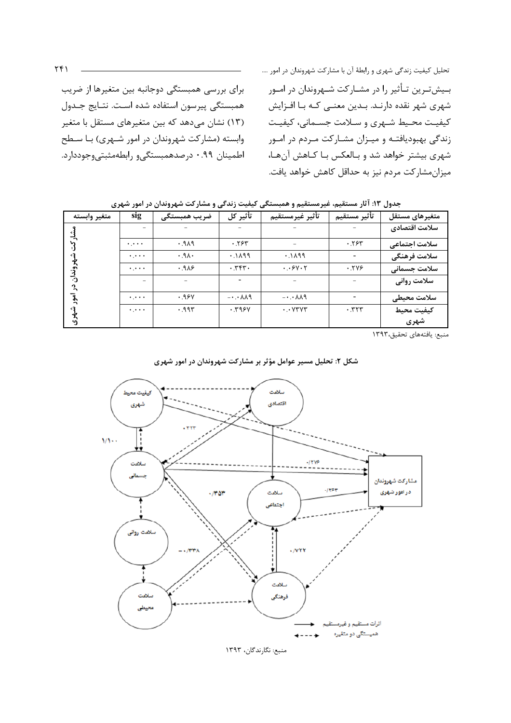برای بررسی همبستگی دوجانبه بین متغیرها از ضریب همبستگی پیرسون استفاده شده است. نتـایج جـدول (۱۳) نشان می۵هد که بین متغیرهای مستقل با متغیر وابسته (مشارکت شهروندان در امور شـهری) بـا سـطح اطمینان ۹۹.۰ درصدهمبستگی و رابطهمثبتی وجوددارد.

بـیشتـرین تـأثیر را در مشـارکت شـهروندان در امـور شهری شهر نقده دارنـد. بـدین معنـی کـه بـا افـزایش کیفیت محـیط شـهری و سـلامت جسـمانی، کیفیـت زندگی بهبودیافتـه و میـزان مشـارکت مـردم در امـور شهری بیشتر خواهد شد و بـالعکس بـا کـاهش آنهـا، میزان مشار کت مردم نیز به حداقل کاهش خواهد یافت.

| متغير وابسته | sig                               | ضريب همبستگى | تأثير كل                          | تأثير غيرمستقيم                    | تأثير مستقيم | متغيرهاى مستقل |
|--------------|-----------------------------------|--------------|-----------------------------------|------------------------------------|--------------|----------------|
|              |                                   |              |                                   |                                    |              | سلامت اقتصادي  |
|              | $\bullet$ , $\bullet$ , $\bullet$ | .919         | .755                              |                                    | .755         | سلامت اجتماعى  |
|              | $\alpha$ , $\alpha$ , $\alpha$    | .9A.         | .1199                             | .1199                              |              | سلامت فرهنگي   |
| پروندان<br>د | $\ldots$                          | .988         | .757.                             | .                                  | .799         | سلامت جسمانی   |
|              | $\overline{\phantom{a}}$          |              | $\overline{\phantom{0}}$          |                                    |              | سلامت روانی    |
|              | معبره                             | .98          | $- \cdot \cdot \lambda \lambda$ ۹ | $- \cdot \cdot \wedge \wedge \eta$ |              | سلامت محيطى    |
|              | $\ddotsc$                         | .995         | .795V                             | $\cdot$ . $V$ $V$ $V$ $V$          | .777         | كيفيت محيط     |
| ഴ            |                                   |              |                                   |                                    |              | شهری           |

جدول ۱۳: آثار مستقیم، غیرمستقیم و همبستگی کیفیت زندگی و مشارکت شهروندان در امور شهری

منبع: يافتههاي تحقيق،١٣٩٣





منبع: نگارندگان، ۱۳۹۳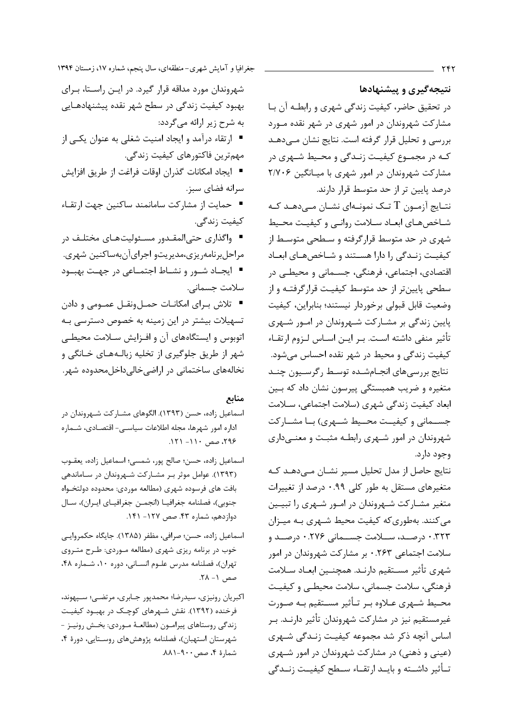نتیجهگیری و پیشنهادها در تحقیق حاضر، کیفیت زندگی شهری و رابطه آن با مشارکت شهروندان در امور شهری در شهر نقده مـورد بررسی و تحلیل قرار گرفته است. نتایج نشان مے دهـد کـه در مجمـوع کيفيـت زنـدگي و محـيط شـهري در مشارکت شهروندان در امور شهری با میـانگین ۲/۷۰۶ درصد پایین تر از حد متوسط قرار دارند.

نتــايج آزمــون  $\rm T$  تــك نمونــهاي نشــان مــى‹هــد كــه شـاخصهـاى ابعـاد سـلامت روانـى و كيفيـت محـيط شهری در حد متوسط قرارگرفته و سـطحی متوسـط از كيفيت زنـدگى را دارا هسـتند و شـاخصهـاى ابعـاد اقتصادي، اجتماعي، فرهنگي، جسـماني و محيطـي در سطحی پایین تر از حد متوسط کیفیت قرار گرفتـه و از وضعيت قابل قبولي برخوردار نيستند؛ بنابراين، كيفيت پایین زندگی بر مشـارکت شـهروندان در امـور شـهری تأثير منفى داشته است. بـر ايـن اسـاس لـزوم ارتقـاء کیفیت زندگی و محیط در شهر نقده احساس می شود. نتايج بررسىهاى انجـامشـده توسـط رگرسـيون چنـد متغیره و ضریب همبستگی پیرسون نشان داد که بین ابعاد کیفیت زندگی شهری (سلامت اجتماعی، سـلامت جســمانی و کیفیــت محــیط شــهری) بــا مشــارکت شهروندان در امور شـهري رابطـه مثبـت و معنـىدارى وجود دارد.

نتایج حاصل از مدل تحلیل مسیر نشـان مـیدهـد کـه متغیرهای مستقل به طور کلی ۰.۹۹ درصد از تغییرات متغیر مشـارکت شـهروندان در امـور شـهري را تبيـين می کنند. بهطوری که کیفیت محیط شـهری بـه میـزان ۰.۳۲۳ درصـد، ســلامت جســمانی ۰.۲۷۶ درصـد و سلامت اجتماعی ۰.۲۶۳ بر مشارکت شهروندان در امور شهري تأثير مسـتقيم دارنـد. همچنــين ابعـاد سـلامت فرهنگی، سلامت جسمانی، سلامت محیطـی و کیفیـت محـيط شـهري عــلاوه بـر تــأثير مســتقيم بـه صــورت غیرمستقیم نیز در مشارکت شهروندان تأثیر دارنـد. بـر اساس آنچه ذکر شد مجموعه کیفیت زنـدگی شـهری (عینی و ذهنی) در مشارکت شهروندان در امور شـهری تـأثير داشــته و بايــد ارتقــاء ســطح كيفيــت زنــدگي

جغرافیا و آمایش شهری-منطقهای، سال پنجم، شماره ۱۷، زمستان ۱۳۹۴

شهروندان مورد مداقه قرار گیرد. در ایـن راسـتا، بـرای بهبود کیفیت زندگی در سطح شهر نقده پیشنهادهـایی به شرح زیر ارائه میگردد:

- ارتقاء درآمد و ایجاد امنیت شغلی به عنوان یکـی از مهم ترین فاکتورهای کیفیت زندگی.
- ايجاد امكانات گذران اوقات فراغت از طريق افزايش سرانه فضاى سبز.

■ حمایت از مشارکت سامانمند ساکنین جهت ارتقـاء كيفيت زندگي.

■ واگذاری حتیالمقـدور مسـئولیتھـای مختلـف در مراحلبرنامهريزي،مديريتو اجرايآنبهساكنين شهري. ■ ایجـاد شـور و نشـاط اجتمـاعی در جهـت بهبـود

سلامت جسمانی.

■ تلاش براي امكانـات حمـلونقـل عمـومى و دادن تسهیلات بیشتر در این زمینه به خصوص دسترسی بـه اتوبوس و ایستگاههای آن و افـزایش سـلامت محیطـی شهر از طریق جلوگیری از تخلیه زبالـههـای خـانگی و نخالههای ساختمانی در اراضی خالی داخل محدوده شهر.

#### منابع

- اسماعیل زاده، حسن (۱۳۹۳). الگوهای مشـارکت شـهروندان در ادارہ امور شھرها، مجله اطلاعات سیاسے۔ اقتصـادی، شـمارہ ۲۹۶، صص ۱۱۰- ۱۲۱.
- اسماعيل زاده، حسن؛ صالح پور، شمسي؛ اسماعيل زاده، يعقـوب (۱۳۹۳). عوامل موثر بـر مشـاركت شـهروندان در سـاماندهى بافت های فرسوده شهری (مطالعه موردی: محدوده دولتخـواه جنوبي)، فصلنامه جغرافيـا (انجمــن جغرافيــاي ايــران)، ســال دوازدهم، شماره ۴۳. صص ۱۲۷- ۱۴۱.
- اسماعيل زاده، حسن؛ صرافي، مظفر (١٣٨۵). جايگاه حكمروايي خوب در برنامه ریزی شهری (مطالعه مـوردی: طـرح متـروی تهران)، فصلنامه مدرس علوم انسـاني، دوره ١٠، شـماره ۴۸، صص ١- ٢٨.
- اكبريان رونيزي، سيدرضا؛ محمدپور جـابري، مرتضـي؛ سـپهوند، فرخنده (۱۳۹۲). نقش شـهرهای کوچـک در بهبـود کیفیـت زندگی روستاهای پیرامون (مطالعـهٔ مـوردی: بخـش رونیـز -شهرستان استهبان)، فصلنامه پژوهشهای روستایی، دورهٔ ۴، شمارهٔ ۴، صص ۹۰۰-۸۸۱.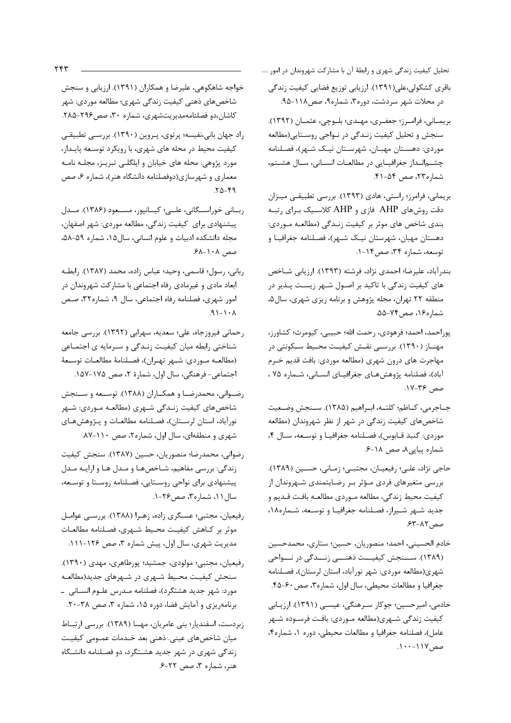تحلیل کیفیت زندگی شهری و رابطهٔ آن با مشارکت شهروندان در امور ....

- باقری کشکولی،علی(۱۳۹۱). ارزیابی توزیع فضایی کیفیت زندگی در محلات شهر سردشت، دوره۳، شماره۹، صص۱۱۸-۹۵.
- بريمـاني، فرامـرز؛ جعفـري، مهـدي؛ بلـوچي، عثمـان (١٣٩٢). سنجش و تحلیل کیفیت زنـدگی در نـواحی روسـتایی(مطالعه موردي: دهستان مهبـان، شهرسـتان نيـک شـهر)، فصـلنامه چشـمانـداز جغرافيـايى در مطالعـات انسـانى، سـال هشـتم، شماره۲۳، صص ۵۴-۴۱.
- بريماني، فرامرز؛ راستي، هادي (١٣٩٣). بررسي تطبيقي ميزان دقت روشهای AHP فازی و AHP کلاسیک بـرای رتبـه بندی شاخص های موثر بر کیفیت زنـدگی (مطالعـه مـوردی: دهستان مهبان، شهرستان نیـک شـهر)، فصـلنامه جغرافیـا و توسعه، شماره ۳۴، صص ۱۴-۱.
- بندرآباد، علیرضا؛ احمدی نژاد، فرشته (۱۳۹۳). ارزیابی شـاخص های کیفیت زندگی با تاکید بر اصـول شـهر زیسـت پـذیر در منطقه ٢٢ تهران، مجله پژوهش و برنامه ريزي شهري، سال۵، شماره ۱۶، صص ۷۴-۵۵.
- پوراحمد، احمد؛ فرهودي، رحمت الله؛ حبيبي، كيومرث؛ كشاورز، مهنـاز (۱۳۹۰). بررسـی نقـش کیفیـت محـیط سـکونتی در مهاجرت های درون شهری (مطالعه موردی: بافت قدیم خـرم آباد)، فصلنامه پژوهشهای جغرافیای انسانی، شـماره ۷۵ ، صص ۳۶-۱۷.
- جــاجرمي، كــاظم؛ كلتــه، ابــراهيم (١٣٨۵). ســنجش وضــعيت شاخصهای کیفیت زندگی در شهر از نظر شهروندان (مطالعه موردي: گنبد قـابوس)، فصـلنامه جغرافيـا وتوسـعه، سـال ۴، شماره پیاپی۸، صص ۱۸-۶.
- حاجي نژاد، علـي؛ رفيعيـان، مجتبـي؛ زمـاني، حسـين (١٣٨٩). بررسی متغیرهای فردی مؤثر بر رضایتمندی شـهروندان از كيفيت محيط زندگي، مطالعه مـوردي مطالعـه بافـت قـديم و جدید شـهر شـیراز، فصـلنامه جغرافیـا و توسـعه، شـماره١٨، صص ٨٢-۶۳.
- خادم الحسيني، احمد؛ منصوريان، حسين؛ ستاري، محمدحسين (۱۳۸۹). ســنجش کیفیــت ذهنـــی زنــدگی در نـــواحی شهري(مطالعه موردي: شهر نوراًباد، استان لرستان)، فصلنامه جغرافيا و مطالعات محيطي، سال اول، شماره٣، صص ٤٠-۴۵.
- خادمی، امیرحسین؛ جوکار سرهنگی، عیسـی (۱۳۹۱). ارزیـابی كيفيت زندگي شـهري(مطالعه مـوردي: بافـت فرسـوده شـهر عامل)، فصلنامه جغرافيا و مطالعات محيطى، دوره ١، شماره؟، صص ١١٧-١٠٠.

خواجه شاهکوهی، علیرضا و همکاران (۱۳۹۱). ارزیابی و سنجش شاخصهای ذهنی کیفیت زندگی شهری؛ مطالعه موردی: شهر كاشان،دو فصلنامهمديريتشهري، شماره ٣٠، صص٢٩۶-٢٨٥.

راد جهان بانی،نفیسه؛ پرتوی، پـروین (۱۳۹۰). بررسـی تطبیقـی کیفیت محیط در محله های شهری، با رویکرد توسـعه پایـدار، مورد پژوهي: محله هاي خيابان و ايلگلـي تبريـز، مجلـه نامـه معماری و شهرسازی(دوفصلنامه دانشگاه هنر)، شماره ۶، صص  $.70 - 99$ 

ربانی خوراسگانی، علی؛ کیانپور، مسعود (۱۳۸۶). مدل پیشنهادی برای کیفیت زندگی، مطالعه موردی: شهر اصفهان، مجله دانشکده ادبیات و علوم انسانی، سال۱۵، شماره ۵۹-۵۸، صص ۱۰۸-۶۸.

رباني، رسول؛ قاسمي، وحيد؛ عباس زاده، محمد (١٣٨٧). رابطـه ابعاد مادی و غیرمادی رفاه اجتماعی با مشارکت شهروندان در امور شهري، فصلنامه رفاه اجتماعي، سال ٩، شماره٣٢، صص  $A - 1 - 1P$ .

رحمانی فیروزجاه، علی؛ سعدیه، سهرابی (۱۳۹۲). بررسی جامعه شناختی رابطه میان کیفیت زنـدگی و سـرمایه ی اجتمـاعی (مطالعـه مـوردي: شـهر تهـران)، فصـلنامهٔ مطالعـات توسـعهٔ اجتماعي- فرهنگي، سال اول، شمارهٔ ٢، صص ١٧٥-١۵٧.

رضوانی، محمدرضا و همکاران (۱۳۸۸). توسعه و سـنجش شاخصهای کیفیت زنـدگی شـهری (مطالعـه مـوردی: شـهر نورآباد، استان لرسـتان)، فصـلنامه مطالعـات و پـژوهشهـای شهری و منطقهای، سال اول، شماره ۲، صص ۱۱۰-۸۷.

رضواني، محمدرضا؛ منصوريان، حسين (١٣٨٧). سنجش كيفيت زندگی: بررسی مفاهیم، شـاخصهـا و مـدل هـا و ارایـه مـدل پیشنهادی برای نواحی روستایی، فصلنامه روستا و توسعه، سال ١١، شماره٣، صص ٢۶-١.

- رفیعیان، مجتبی؛ عسگری زاده، زهرا (۱۳۸۸). بررسی عوامل موثر بر كـاهش كيفيـت محـيط شـهرى، فصـلنامه مطالعـات مدیریت شهری، سال اول، پیش شماره ۳، صص ۱۲۶-۱۱۱.
- رفيعيان، مجتبى؛ مولودى، جمشيد؛ پورطاهرى، مهدى (١٣٩٠). سنجش کیفیت محیط شهری در شهرهای جدید(مطالعه مورد: شهر جديد هشتگرد)، فصلنامه مـدرس علـوم انسـاني \_ برنامهریزی و آمایش فضا، دوره ۱۵، شماره ۳، صص ۳۸-۲۰.
- زبردست، اسفندیار؛ بنی عامریان، مهسا (١٣٨٩). بررسی ارتباط میان شاخصهای عینی. ذهنی بعد خـدمات عمـومی کیفیـت زندگی شهری در شهر جدید هشتگرد، دو فصلنامه دانشگاه هنر، شماره ۳، صص ۲۲-۶.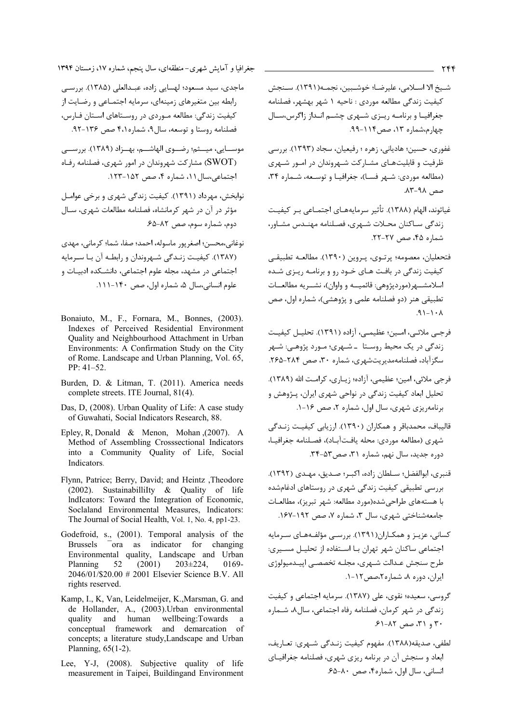- شيخ الا اســلامي، عليرضــا؛ خوشــبين، نجمــه(١٣٩١). ســنجش کیفیت زندگی مطالعه موردی : ناحیه ۱ شهر بهشهر، فصلنامه جغرافیـا و برنامـه ريـزي شـهري چشـم انـداز زاگرس،سـال جهارم،شماره ۱۳، صص ۱۱۴-۹۹.
- غفوري، حسين؛ هادياني، زهره ؛ رفيعيان، سجاد (١٣٩٣). بررسي ظرفیت و قابلیتهـای مشـارکت شـهروندان در امـور شـهری (مطالعه موردي: شـهر فسـ)، جغرافيـا و توسـعه، شـماره ٣۴، صص ۹۸-۸۳.
- غیاثوند، الهام (۱۳۸۸). تأثیر سرمایههـای اجتمـاعی بـر کیفیـت زندگی ساکنان محلات شـهری، فصـلنامه مهنـدس مشـاور، شماره ۴۵، صص ۲۷-۲۲.
- فتحعلیان، معصومه؛ پرتــوی، پــروین (١٣٩٠). مطالعــه تطبیقــی کیفیت زندگی در بافت هـای خـود رو و برنامـه ریـزی شـده اسلامشــهر(موردپژوهي: قائميــه و واوان)، نشــريه مطالعــات تطبیقی هنر (دو فصلنامه علمی و پژوهشی)، شماره اول، صص  $\lambda \cdot (-1)^{\alpha}$ .
- فرجـي ملائـي، امـين؛ عظيمـي، آزاده (١٣٩١). تحليـل كيفيـت زندگی در یک محیط روستا ۔شےوی؛ مورد پژوهے: شےو سگزآباد، فصلنامهمدیریتشهری، شماره ۳۰، صص ۲۸۴-۲۶۵.
- فرجي ملائي، امين؛ عظيمي، آزاده؛ زيـاري، كرامـت الله (١٣٨٩). تحلیل ابعاد کیفیت زندگی در نواحی شهری ایران، پـژوهش و برنامهریزی شهری، سال اول، شماره ۲، صص ۱۶-۱.
- قالیباف، محمدباقر و همکاران (۱۳۹۰). ارزیابی کیفیـت زنــدگی شهري (مطالعه موردي: محله يافتآبــاد)، فصــلنامه جغرافيــا، دوره جديد، سال نهم، شماره ٣١، صص٥٣-٣۴.
- قنبري، ابوالفضل؛ سـلطان زاده، اكبـر؛ صـديق، مهـدي (١٣٩٢). بررسی تطبیقی کیفیت زندگی شهری در روستاهای ادغامشده با هستههای طراحیشده(مورد مطالعه: شهر تبریز)، مطالعـات جامعهشناختی شهری، سال ۳، شماره ۷، صص ۱۹۲-۱۶۷.
- کسانی، عزیـز و همکـاران(۱۳۹۱). بررسـی مؤلفـههـای سـرمایه اجتماعی ساکنان شهر تهران بـا اسـتفاده از تحليـل مسـيري: طرح سنجش عـدالت شـهري، مجلـه تخصصـي اييــدميولوژي ایران، دوره ۸، شماره ۲،صص ۱۲-۱.
- گروسی، سعیده؛ نقوی، علی (۱۳۸۷). سرمایه اجتماعی و کیفیت زندگی در شهر کرمان، فصلنامه رفاه اجتماعی، سال۸، شـما, ه ۳۰ و ۳۱، صص ۸۲-۶۱.
- لطفي، صديقه(١٣٨٨). مفهوم كيفيت زنـدگي شــهري: تعـاريف، ابعاد و سنجش آن در برنامه ریزی شهری، فصلنامه جغرافیـای انسانی، سال اول، شماره۴، صص ۸۰-۶۵.

جغرافیا و آمایش شهری-منطقهای، سال پنجم، شماره ۱۷، زمستان ۱۳۹۴

- ماجدي، سيد مسعود؛ لهسايي زاده، عبـدالعلي (١٣٨۵). بررسـي رابطه بین متغیرهای زمینهای، سرمایه اجتمـاعی و رضـایت از کیفیت زندگی: مطالعه مـوردی در روسـتاهای اسـتان فـارس، فصلنامه روستا و توسعه، سال ۹، شماره ۴،۱ صص ۱۳۶-۹۲.
- موســايي، ميــثم؛ رضــوى الهاشـــم، بهــزاد (١٣٨٩). بررســــ ، (SWOT) مشاركت شهروندان در امور شهرى، فصلنامه رفاه احتماعه ،سال ١١، شماره ۴، صص ١٥٢-١٢٣.
- نوابخش، مهرداد (۱۳۹۱). کیفیت زندگی شهری و برخی عوامـل مؤثر در آن در شهر کرمانشاه، فصلنامه مطالعات شهری، ســال دوم، شماره سوم، صص ٨٢-۶۵.

نوغاني،محسن؛ اصغر يور ماسوله، احمد؛ صفا، شما؛ كرماني، مهدي (۱۳۸۷). کیفیت زنـدگی شـهروندان و رابطـه آن بـا سـرمایه اجتماعی در مشهد، مجله علوم اجتماعی، دانشـكده ادبيـات و علوم انسانی،سال ۵، شماره اول، صص ۱۴۰-۱۱۱.

- Bonaiuto, M., F., Fornara, M., Bonnes, (2003). Indexes of Perceived Residential Environment Quality and Neighbourhood Attachment in Urban Environments: A Confirmation Study on the City of Rome. Landscape and Urban Planning, Vol. 65, PP: 41-52.
- Burden, D. & Litman, T. (2011). America needs complete streets. ITE Journal, 81(4).
- Das, D, (2008). Urban Quality of Life: A case study of Guwahati, Social Indicators Research, 88.
- Epley, R, Donald & Menon, Mohan  $(2007)$ . A Method of Assembling Crosssectional Indicators into a Community Quality of Life, Social Indicators.
- Flynn, Patrice; Berry, David; and Heintz , Theodore  $(2002)$ . Sustainabillilty & Quality of life Indicators: Toward the Integration of Economic, Soclaland Environmental Measures, Indicators: The Journal of Social Health, Vol. 1, No. 4, pp1-23.
- Godefroid, s., (2001). Temporal analysis of the  $\overline{\phantom{a}}$  ora as indicator for changing **Brussels** Environmental quality, Landscape and Urban Planning 52  $(2001)$  $203 \pm 224$  $0169 -$ 2046/01/\$20.00 # 2001 Elsevier Science B.V. All rights reserved.
- Kamp, I., K. Van, Leidelmeijer, K., Marsman, G. and de Hollander, A., (2003). Urban environmental quality and human wellbeing:Towards  $\overline{a}$ conceptual framework and demarcation of concepts; a literature study, Landscape and Urban Planning,  $65(1-2)$ .
- Lee, Y-J, (2008). Subjective quality of life measurement in Taipei, Buildingand Environment